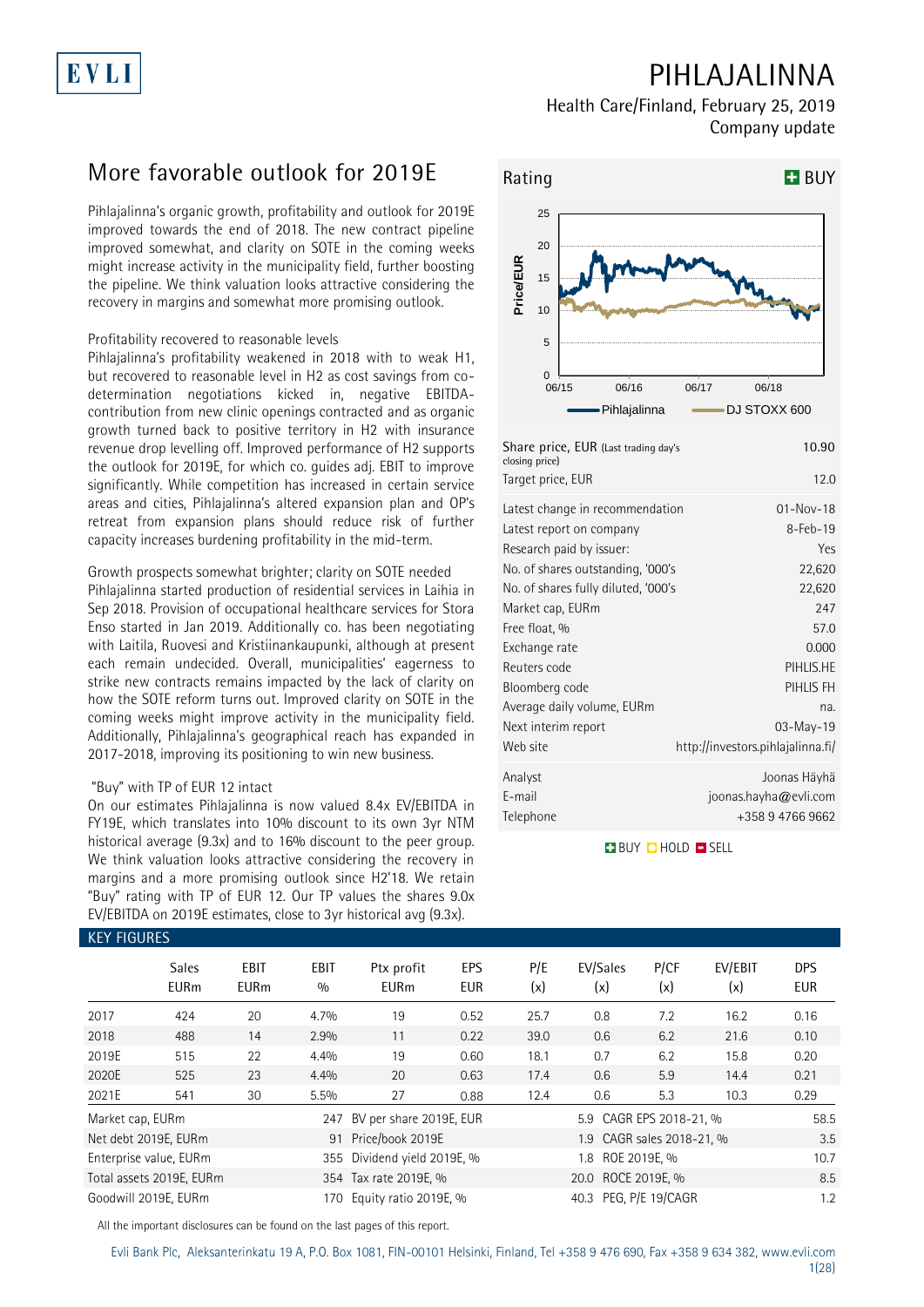# EVLI

# **PIHLAJALINNA**

**Health Care/Finland, February 25, 2019 Company update**

# **More favorable outlook for 2019E**

Pihlajalinna's organic growth, profitability and outlook for 2019E improved towards the end of 2018. The new contract pipeline improved somewhat, and clarity on SOTE in the coming weeks might increase activity in the municipality field, further boosting the pipeline. We think valuation looks attractive considering the recovery in margins and somewhat more promising outlook.

#### Profitability recovered to reasonable levels

Pihlajalinna's profitability weakened in 2018 with to weak H1, but recovered to reasonable level in H2 as cost savings from codetermination negotiations kicked in, negative EBITDAcontribution from new clinic openings contracted and as organic growth turned back to positive territory in H2 with insurance revenue drop levelling off. Improved performance of H2 supports the outlook for 2019E, for which co. guides adj. EBIT to improve significantly. While competition has increased in certain service areas and cities, Pihlajalinna's altered expansion plan and OP's retreat from expansion plans should reduce risk of further capacity increases burdening profitability in the mid-term.

#### Growth prospects somewhat brighter; clarity on SOTE needed

Pihlajalinna started production of residential services in Laihia in Sep 2018. Provision of occupational healthcare services for Stora Enso started in Jan 2019. Additionally co. has been negotiating with Laitila, Ruovesi and Kristiinankaupunki, although at present each remain undecided. Overall, municipalities' eagerness to strike new contracts remains impacted by the lack of clarity on how the SOTE reform turns out. Improved clarity on SOTE in the coming weeks might improve activity in the municipality field. Additionally, Pihlajalinna's geographical reach has expanded in 2017-2018, improving its positioning to win new business.

#### "Buy" with TP of EUR 12 intact

On our estimates Pihlajalinna is now valued 8.4x EV/EBITDA in FY19E, which translates into 10% discount to its own 3yr NTM historical average (9.3x) and to 16% discount to the peer group. We think valuation looks attractive considering the recovery in margins and a more promising outlook since H2'18. We retain "Buy" rating with TP of EUR 12. Our TP values the shares 9.0x EV/EBITDA on 2019E estimates, close to 3yr historical avg (9.3x).



| crosing price)<br>Target price, EUR | 12.0                              |
|-------------------------------------|-----------------------------------|
| Latest change in recommendation     | $01 - Nov - 18$                   |
| Latest report on company            | $8 - Feb - 19$                    |
| Research paid by issuer:            | Yes                               |
| No. of shares outstanding, '000's   | 22,620                            |
| No. of shares fully diluted, '000's | 22,620                            |
| Market cap, EURm                    | 247                               |
| Free float, %                       | 57.0                              |
| Exchange rate                       | 0.000                             |
| Reuters code                        | PIHLIS.HE                         |
| Bloomberg code                      | PIHLIS FH                         |
| Average daily volume, EURm          | na.                               |
| Next interim report                 | 03-May-19                         |
| Web site                            | http://investors.pihlajalinna.fi/ |
| Analyst                             | Joonas Häyhä                      |
| E-mail                              | joonas.hayha@evli.com             |
| Telephone                           | +358 9 4766 9662                  |

**BUY Q HOLD O SELL** 

| <b>KEY FIGURES</b> |                             |                     |             |                                                |            |            |                              |             |                |                          |  |
|--------------------|-----------------------------|---------------------|-------------|------------------------------------------------|------------|------------|------------------------------|-------------|----------------|--------------------------|--|
|                    | <b>Sales</b><br><b>EURm</b> | EBIT<br><b>EURm</b> | EBIT<br>0/0 | Ptx profit<br><b>EURm</b>                      | EPS<br>EUR | P/E<br>(x) | EV/Sales<br>(x)              | P/CF<br>(x) | EV/EBIT<br>(x) | <b>DPS</b><br><b>EUR</b> |  |
| 2017               | 424                         | 20                  | 4.7%        | 19                                             | 0.52       | 25.7       | 0.8                          | 7.2         | 16.2           | 0.16                     |  |
| 2018               | 488                         | 14                  | 2.9%        | 11                                             | 0.22       | 39.0       | 0.6                          | 6.2         | 21.6           | 0.10                     |  |
| 2019E              | 515                         | 22                  | 4.4%        | 19                                             | 0.60       | 18.1       | 0.7                          | 6.2         | 15.8           | 0.20                     |  |
| 2020E              | 525                         | 23                  | 4.4%        | 20                                             | 0.63       | 17.4       | 0.6                          | 5.9         | 14.4           | 0.21                     |  |
| 2021E              | 541                         | 30                  | 5.5%        | 27                                             | 0.88       | 12.4       | 0.6                          | 5.3         | 10.3           | 0.29                     |  |
| Market cap, EURm   |                             |                     | 247         | BV per share 2019E, EUR                        |            |            | 5.9 CAGR EPS 2018-21, %      |             |                | 58.5                     |  |
|                    | Net debt 2019E, EURm        |                     | 91          | Price/book 2019E                               |            |            | 1.9 CAGR sales 2018-21, %    |             |                | 3.5                      |  |
|                    | Enterprise value, EURm      |                     |             | 355 Dividend yield 2019E, %                    |            |            | ROE 2019E, %<br>1.8          |             |                |                          |  |
|                    | Total assets 2019E, EURm    |                     |             | ROCE 2019E, %<br>354 Tax rate 2019E, %<br>20.0 |            |            |                              |             |                | 8.5                      |  |
|                    | Goodwill 2019E, EURm        |                     | 170         | Equity ratio 2019E, %                          |            |            | 40.3 PEG, P/E 19/CAGR<br>1.2 |             |                |                          |  |

All the important disclosures can be found on the last pages of this report.

Evli Bank Plc, Aleksanterinkatu 19 A, P.O. Box 1081, FIN-00101 Helsinki, Finland, Tel +358 9 476 690, Fax +358 9 634 382, [www.evli.com](http://www.evli.com/)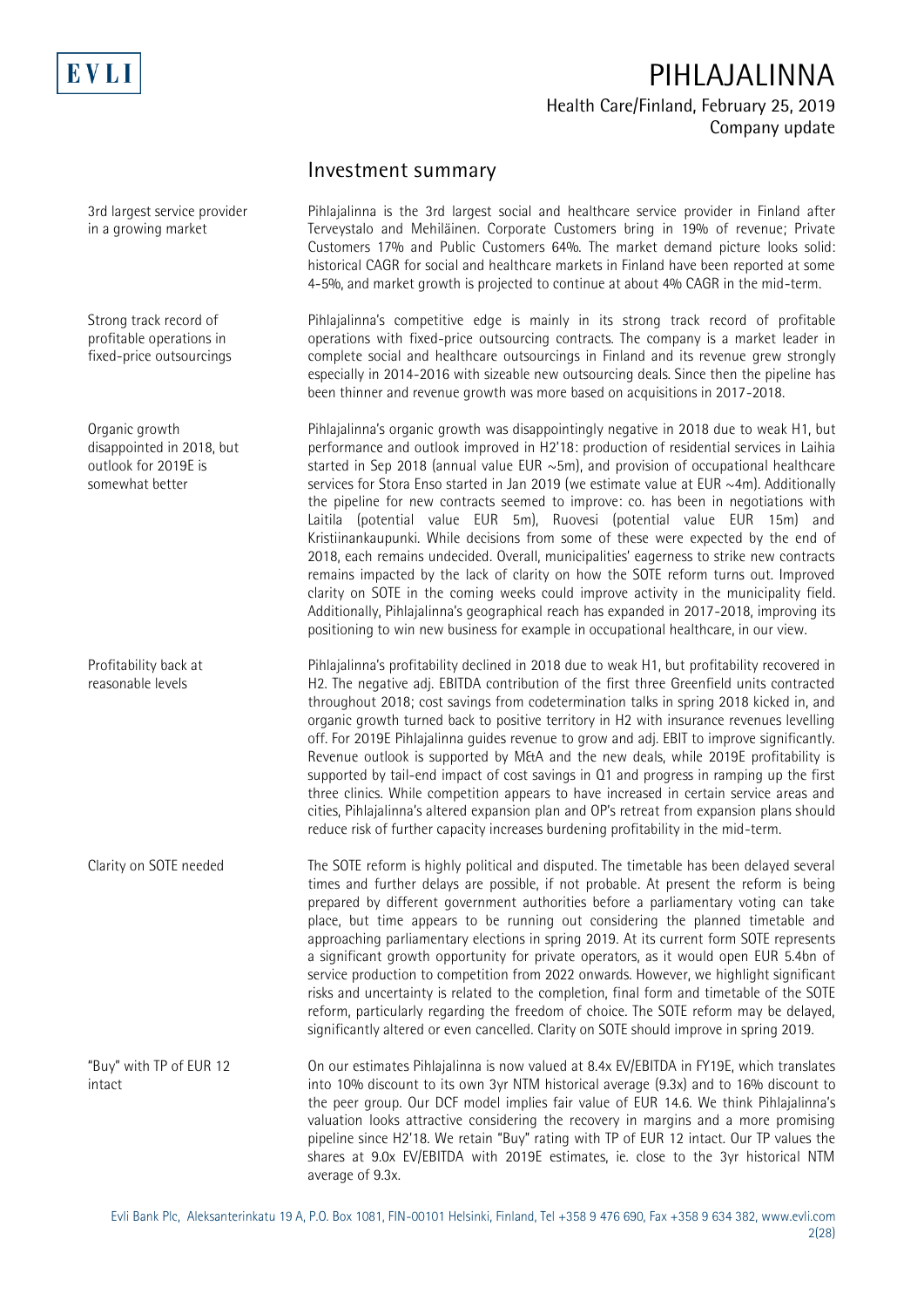

### **Investment summary**

Pihlajalinna is the 3rd largest social and healthcare service provider in Finland after Terveystalo and Mehiläinen. Corporate Customers bring in 19% of revenue; Private Customers 17% and Public Customers 64%. The market demand picture looks solid: historical CAGR for social and healthcare markets in Finland have been reported at some 4-5%, and market growth is projected to continue at about 4% CAGR in the mid-term.

Pihlajalinna's competitive edge is mainly in its strong track record of profitable operations with fixed-price outsourcing contracts. The company is a market leader in complete social and healthcare outsourcings in Finland and its revenue grew strongly especially in 2014-2016 with sizeable new outsourcing deals. Since then the pipeline has been thinner and revenue growth was more based on acquisitions in 2017-2018.

Pihlajalinna's organic growth was disappointingly negative in 2018 due to weak H1, but performance and outlook improved in H2'18: production of residential services in Laihia started in Sep 2018 (annual value EUR  $\sim$  5m), and provision of occupational healthcare services for Stora Enso started in Jan 2019 (we estimate value at EUR ~4m). Additionally the pipeline for new contracts seemed to improve: co. has been in negotiations with Laitila (potential value EUR 5m), Ruovesi (potential value EUR 15m) and Kristiinankaupunki. While decisions from some of these were expected by the end of 2018, each remains undecided. Overall, municipalities' eagerness to strike new contracts remains impacted by the lack of clarity on how the SOTE reform turns out. Improved clarity on SOTE in the coming weeks could improve activity in the municipality field. Additionally, Pihlajalinna's geographical reach has expanded in 2017-2018, improving its positioning to win new business for example in occupational healthcare, in our view.

Pihlajalinna's profitability declined in 2018 due to weak H1, but profitability recovered in H2. The negative adj. EBITDA contribution of the first three Greenfield units contracted throughout 2018; cost savings from codetermination talks in spring 2018 kicked in, and organic growth turned back to positive territory in H2 with insurance revenues levelling off. For 2019E Pihlajalinna guides revenue to grow and adj. EBIT to improve significantly. Revenue outlook is supported by M&A and the new deals, while 2019E profitability is supported by tail-end impact of cost savings in Q1 and progress in ramping up the first three clinics. While competition appears to have increased in certain service areas and cities, Pihlajalinna's altered expansion plan and OP's retreat from expansion plans should reduce risk of further capacity increases burdening profitability in the mid-term.

The SOTE reform is highly political and disputed. The timetable has been delayed several times and further delays are possible, if not probable. At present the reform is being prepared by different government authorities before a parliamentary voting can take place, but time appears to be running out considering the planned timetable and approaching parliamentary elections in spring 2019. At its current form SOTE represents a significant growth opportunity for private operators, as it would open EUR 5.4bn of service production to competition from 2022 onwards. However, we highlight significant risks and uncertainty is related to the completion, final form and timetable of the SOTE reform, particularly regarding the freedom of choice. The SOTE reform may be delayed, significantly altered or even cancelled. Clarity on SOTE should improve in spring 2019.

On our estimates Pihlajalinna is now valued at 8.4x EV/EBITDA in FY19E, which translates into 10% discount to its own 3yr NTM historical average (9.3x) and to 16% discount to the peer group. Our DCF model implies fair value of EUR 14.6. We think Pihlajalinna's valuation looks attractive considering the recovery in margins and a more promising pipeline since H2'18. We retain "Buy" rating with TP of EUR 12 intact. Our TP values the shares at 9.0x EV/EBITDA with 2019E estimates, ie. close to the 3yr historical NTM average of 9.3x.

3rd largest service provider in a growing market

Strong track record of profitable operations in fixed-price outsourcings

Organic growth disappointed in 2018, but outlook for 2019E is somewhat better

Profitability back at reasonable levels

Clarity on SOTE needed

"Buy" with TP of EUR 12 intact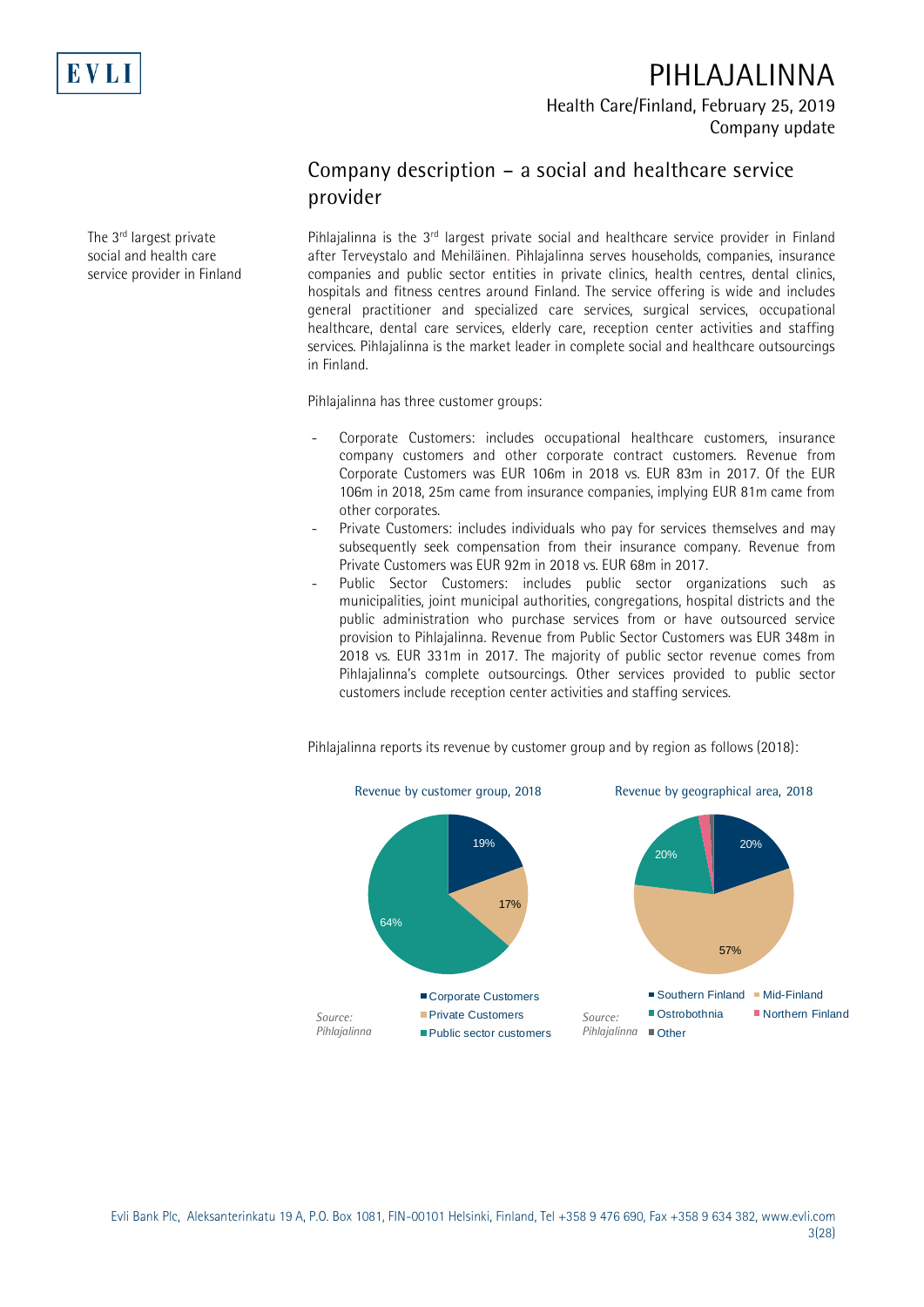

**PIHLAJALINNA**

**Health Care/Finland, February 25, 2019 Company update**

## **Company description – a social and healthcare service provider**

Pihlajalinna is the 3<sup>rd</sup> largest private social and healthcare service provider in Finland after Terveystalo and Mehiläinen. Pihlajalinna serves households, companies, insurance companies and public sector entities in private clinics, health centres, dental clinics, hospitals and fitness centres around Finland. The service offering is wide and includes general practitioner and specialized care services, surgical services, occupational healthcare, dental care services, elderly care, reception center activities and staffing services. Pihlajalinna is the market leader in complete social and healthcare outsourcings in Finland.

Pihlajalinna has three customer groups:

- Corporate Customers: includes occupational healthcare customers, insurance company customers and other corporate contract customers. Revenue from Corporate Customers was EUR 106m in 2018 vs. EUR 83m in 2017. Of the EUR 106m in 2018, 25m came from insurance companies, implying EUR 81m came from other corporates.
- Private Customers: includes individuals who pay for services themselves and may subsequently seek compensation from their insurance company. Revenue from Private Customers was EUR 92m in 2018 vs. EUR 68m in 2017.
- Public Sector Customers: includes public sector organizations such as municipalities, joint municipal authorities, congregations, hospital districts and the public administration who purchase services from or have outsourced service provision to Pihlajalinna. Revenue from Public Sector Customers was EUR 348m in 2018 vs. EUR 331m in 2017. The majority of public sector revenue comes from Pihlajalinna's complete outsourcings. Other services provided to public sector customers include reception center activities and staffing services.



Pihlajalinna reports its revenue by customer group and by region as follows (2018):

The 3<sup>rd</sup> largest private social and health care service provider in Finland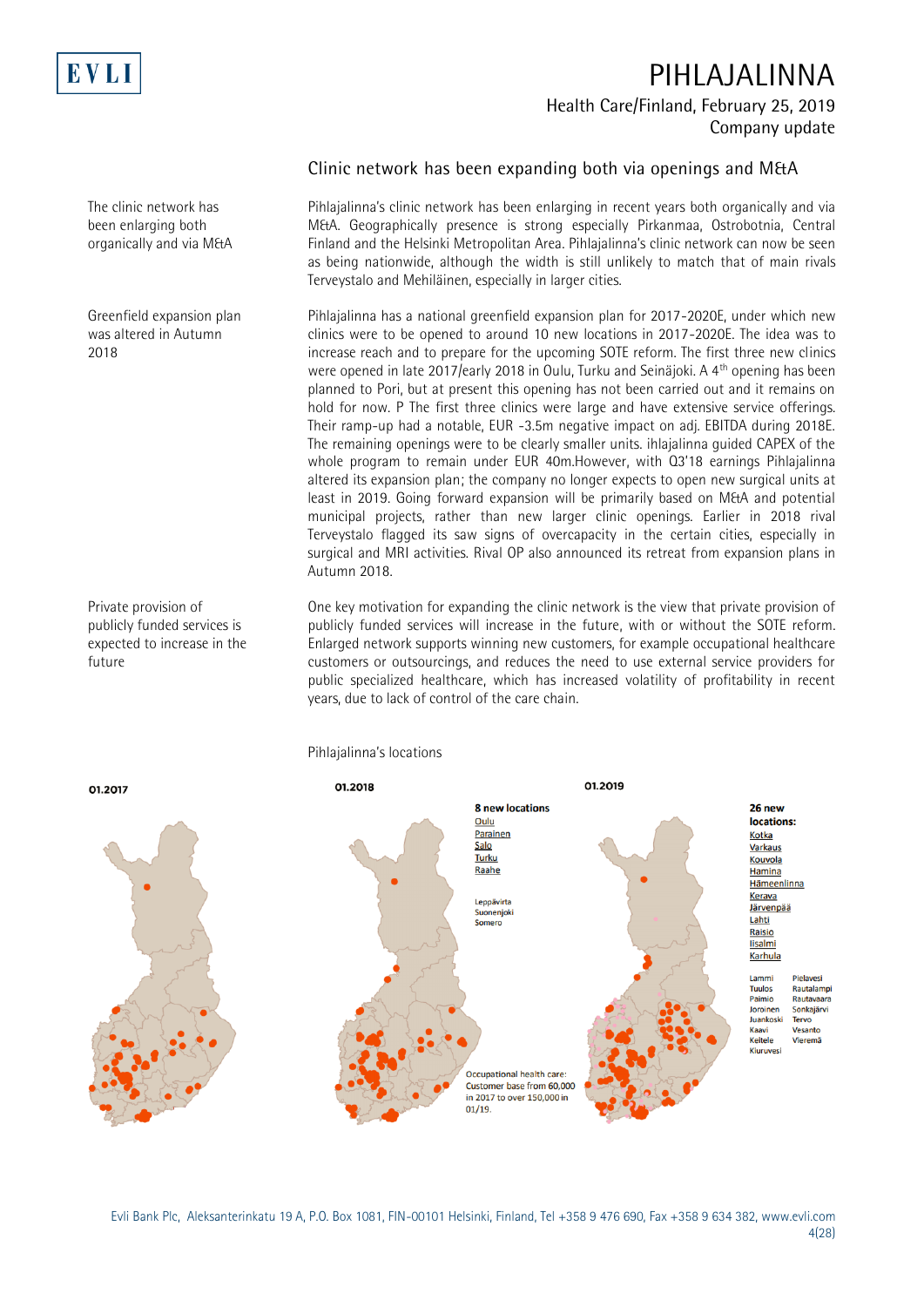

#### The clinic network has been enlarging both organically and via M&A

Greenfield expansion plan was altered in Autumn 2018

Private provision of publicly funded services is expected to increase in the future

### **Clinic network has been expanding both via openings and M&A**

Pihlajalinna's clinic network has been enlarging in recent years both organically and via M&A. Geographically presence is strong especially Pirkanmaa, Ostrobotnia, Central Finland and the Helsinki Metropolitan Area. Pihlajalinna's clinic network can now be seen as being nationwide, although the width is still unlikely to match that of main rivals Terveystalo and Mehiläinen, especially in larger cities.

Pihlajalinna has a national greenfield expansion plan for 2017-2020E, under which new clinics were to be opened to around 10 new locations in 2017-2020E. The idea was to increase reach and to prepare for the upcoming SOTE reform. The first three new clinics were opened in late 2017/early 2018 in Oulu, Turku and Seinäjoki. A 4<sup>th</sup> opening has been planned to Pori, but at present this opening has not been carried out and it remains on hold for now. P The first three clinics were large and have extensive service offerings. Their ramp-up had a notable, EUR -3.5m negative impact on adj. EBITDA during 2018E. The remaining openings were to be clearly smaller units. ihlajalinna guided CAPEX of the whole program to remain under EUR 40m.However, with Q3'18 earnings Pihlajalinna altered its expansion plan; the company no longer expects to open new surgical units at least in 2019. Going forward expansion will be primarily based on M&A and potential municipal projects, rather than new larger clinic openings. Earlier in 2018 rival Terveystalo flagged its saw signs of overcapacity in the certain cities, especially in surgical and MRI activities. Rival OP also announced its retreat from expansion plans in Autumn 2018.

One key motivation for expanding the clinic network is the view that private provision of publicly funded services will increase in the future, with or without the SOTE reform. Enlarged network supports winning new customers, for example occupational healthcare customers or outsourcings, and reduces the need to use external service providers for public specialized healthcare, which has increased volatility of profitability in recent years, due to lack of control of the care chain.



Pihlajalinna's locations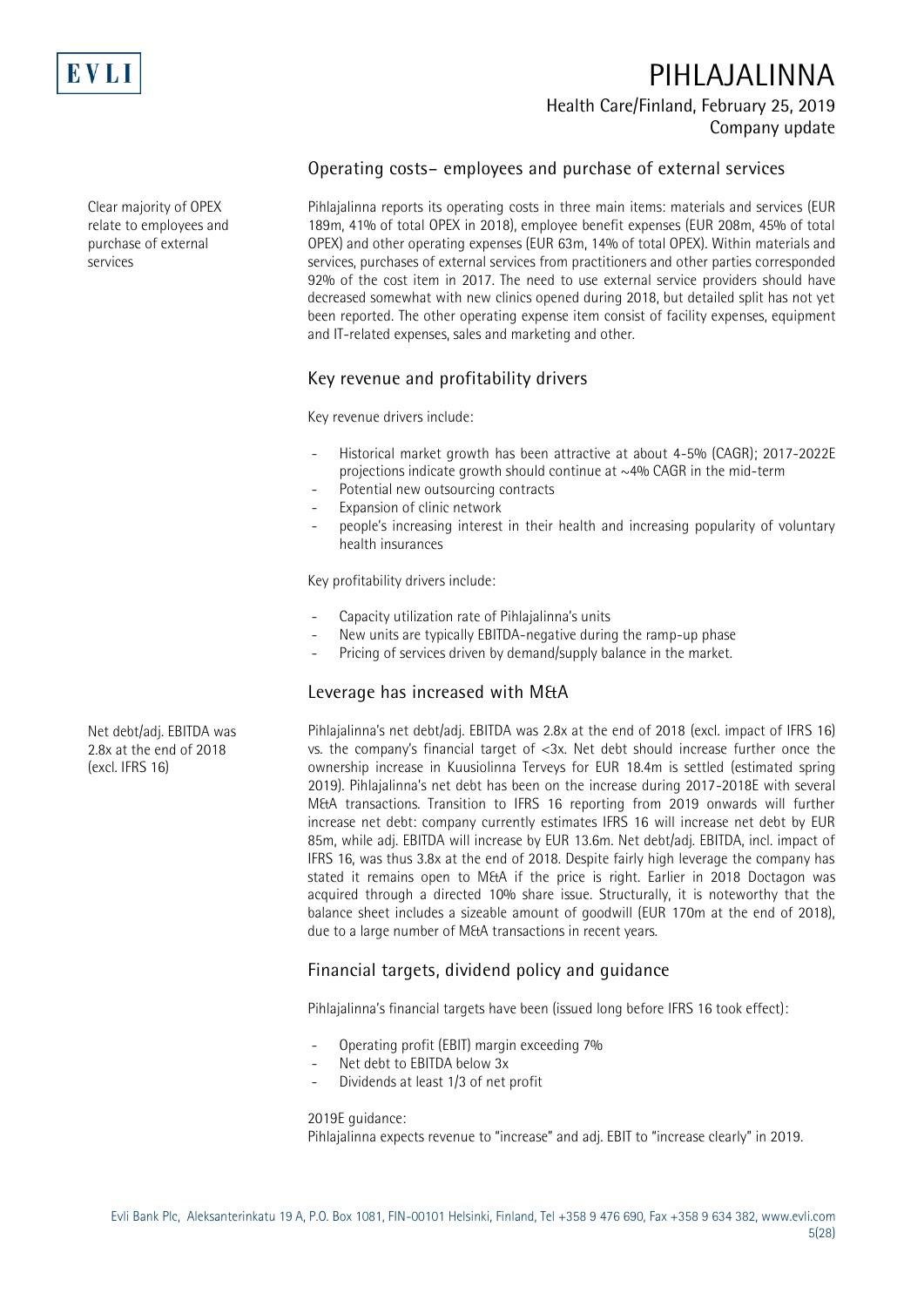

Clear majority of OPEX relate to employees and purchase of external services

# **PIHLAJALINNA Health Care/Finland, February 25, 2019 Company update**

### **Operating costs– employees and purchase of external services**

Pihlajalinna reports its operating costs in three main items: materials and services (EUR 189m, 41% of total OPEX in 2018), employee benefit expenses (EUR 208m, 45% of total OPEX) and other operating expenses (EUR 63m, 14% of total OPEX). Within materials and services, purchases of external services from practitioners and other parties corresponded 92% of the cost item in 2017. The need to use external service providers should have decreased somewhat with new clinics opened during 2018, but detailed split has not yet been reported. The other operating expense item consist of facility expenses, equipment and IT-related expenses, sales and marketing and other.

### **Key revenue and profitability drivers**

Key revenue drivers include:

- Historical market growth has been attractive at about 4-5% (CAGR): 2017-2022E projections indicate growth should continue at  $\sim$ 4% CAGR in the mid-term
- Potential new outsourcing contracts
- Expansion of clinic network
- people's increasing interest in their health and increasing popularity of voluntary health insurances

Key profitability drivers include:

- Capacity utilization rate of Pihlajalinna's units
- New units are typically EBITDA-negative during the ramp-up phase
- Pricing of services driven by demand/supply balance in the market.

#### **Leverage has increased with M&A**

Pihlajalinna's net debt/adj. EBITDA was 2.8x at the end of 2018 (excl. impact of IFRS 16) vs. the company's financial target of <3x. Net debt should increase further once the ownership increase in Kuusiolinna Terveys for EUR 18.4m is settled (estimated spring 2019). Pihlajalinna's net debt has been on the increase during 2017-2018E with several M&A transactions. Transition to IFRS 16 reporting from 2019 onwards will further increase net debt: company currently estimates IFRS 16 will increase net debt by EUR 85m, while adj. EBITDA will increase by EUR 13.6m. Net debt/adj. EBITDA, incl. impact of IFRS 16, was thus 3.8x at the end of 2018. Despite fairly high leverage the company has stated it remains open to M&A if the price is right. Earlier in 2018 Doctagon was acquired through a directed 10% share issue. Structurally, it is noteworthy that the balance sheet includes a sizeable amount of goodwill (EUR 170m at the end of 2018), due to a large number of M&A transactions in recent years.

### **Financial targets, dividend policy and guidance**

Pihlajalinna's financial targets have been (issued long before IFRS 16 took effect):

- Operating profit (EBIT) margin exceeding 7%
- Net debt to EBITDA below 3x
- Dividends at least 1/3 of net profit

2019E guidance:

Pihlajalinna expects revenue to "increase" and adj. EBIT to "increase clearly" in 2019.

Net debt/adj. EBITDA was 2.8x at the end of 2018 (excl. IFRS 16)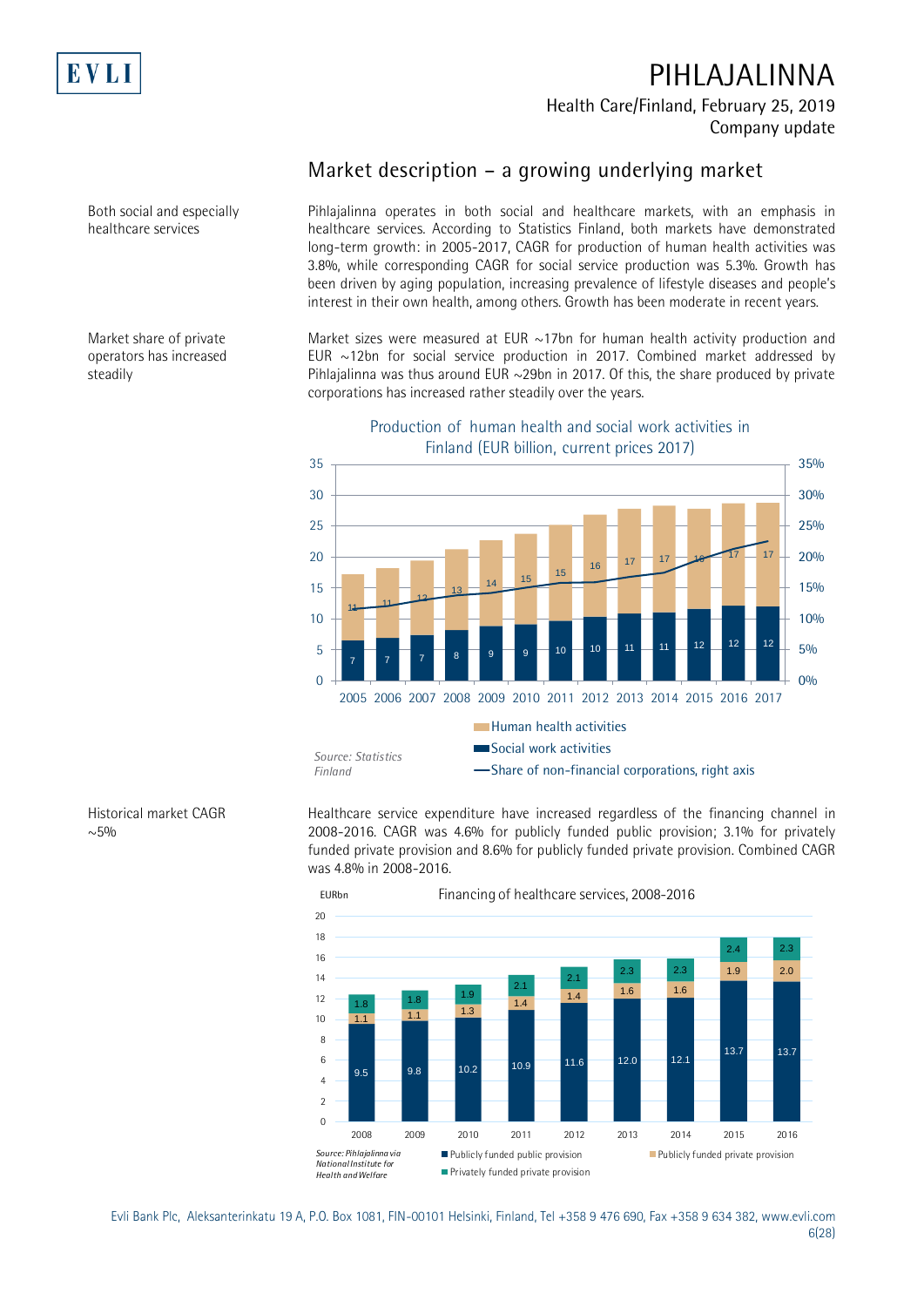

Both social and especially healthcare services

Market share of private operators has increased

steadily

# **PIHLAJALINNA Health Care/Finland, February 25, 2019 Company update**

## **Market description – a growing underlying market**

Pihlajalinna operates in both social and healthcare markets, with an emphasis in healthcare services. According to Statistics Finland, both markets have demonstrated long-term growth: in 2005-2017, CAGR for production of human health activities was 3.8%, while corresponding CAGR for social service production was 5.3%. Growth has been driven by aging population, increasing prevalence of lifestyle diseases and people's interest in their own health, among others. Growth has been moderate in recent years.

Market sizes were measured at EUR  $\sim$ 17bn for human health activity production and EUR  $\sim$ 12bn for social service production in 2017. Combined market addressed by Pihlajalinna was thus around EUR  $\sim$ 29bn in 2017. Of this, the share produced by private corporations has increased rather steadily over the years.



Finland (EUR billion, current prices 2017)

Production of human health and social work activities in

Historical market CAGR  $~100$ 

Healthcare service expenditure have increased regardless of the financing channel in 2008-2016. CAGR was 4.6% for publicly funded public provision; 3.1% for privately funded private provision and 8.6% for publicly funded private provision. Combined CAGR was 4.8% in 2008-2016.



Evli Bank Plc, Aleksanterinkatu 19 A, P.O. Box 1081, FIN-00101 Helsinki, Finland, Tel +358 9 476 690, Fax +358 9 634 382, [www.evli.com](http://www.evli.com/) 6(28)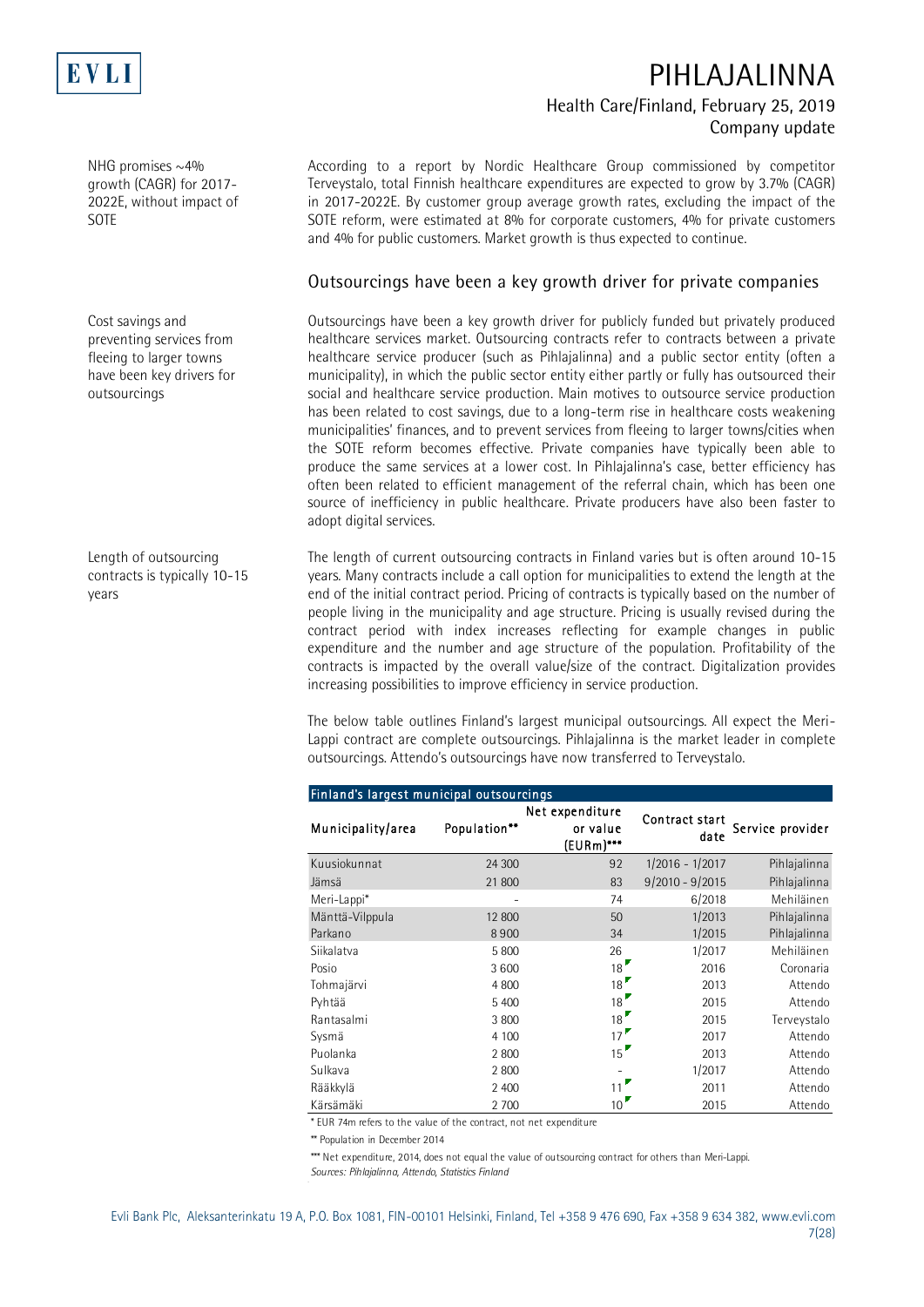

NHG promises  $\sim$ 4% growth (CAGR) for 2017- 2022E, without impact of SOTE

Cost savings and preventing services from fleeing to larger towns have been key drivers for outsourcings

Length of outsourcing contracts is typically 10-15 years

# **PIHLAJALINNA Health Care/Finland, February 25, 2019 Company update**

According to a report by Nordic Healthcare Group commissioned by competitor Terveystalo, total Finnish healthcare expenditures are expected to grow by 3.7% (CAGR) in 2017-2022E. By customer group average growth rates, excluding the impact of the SOTE reform, were estimated at 8% for corporate customers, 4% for private customers and 4% for public customers. Market growth is thus expected to continue.

#### **Outsourcings have been a key growth driver for private companies**

Outsourcings have been a key growth driver for publicly funded but privately produced healthcare services market. Outsourcing contracts refer to contracts between a private healthcare service producer (such as Pihlajalinna) and a public sector entity (often a municipality), in which the public sector entity either partly or fully has outsourced their social and healthcare service production. Main motives to outsource service production has been related to cost savings, due to a long-term rise in healthcare costs weakening municipalities' finances, and to prevent services from fleeing to larger towns/cities when the SOTE reform becomes effective. Private companies have typically been able to produce the same services at a lower cost. In Pihlajalinna's case, better efficiency has often been related to efficient management of the referral chain, which has been one source of inefficiency in public healthcare. Private producers have also been faster to adopt digital services.

The length of current outsourcing contracts in Finland varies but is often around 10-15 years. Many contracts include a call option for municipalities to extend the length at the end of the initial contract period. Pricing of contracts is typically based on the number of people living in the municipality and age structure. Pricing is usually revised during the contract period with index increases reflecting for example changes in public expenditure and the number and age structure of the population. Profitability of the contracts is impacted by the overall value/size of the contract. Digitalization provides increasing possibilities to improve efficiency in service production.

The below table outlines Finland's largest municipal outsourcings. All expect the Meri-Lappi contract are complete outsourcings. Pihlajalinna is the market leader in complete outsourcings. Attendo's outsourcings have now transferred to Terveystalo.

| Finiand's largest municipal outsourcings |              |                                             |                        |                  |
|------------------------------------------|--------------|---------------------------------------------|------------------------|------------------|
| Municipality/area                        | Population** | Net expenditure<br>or value<br>$[EURm]$ *** | Contract start<br>date | Service provider |
| Kuusiokunnat                             | 24 300       | 92                                          | $1/2016 - 1/2017$      | Pihlajalinna     |
| Jämsä                                    | 21 800       | 83                                          | $9/2010 - 9/2015$      | Pihlajalinna     |
| Meri-Lappi*                              |              | 74                                          | 6/2018                 | Mehiläinen       |
| Mänttä-Vilppula                          | 12 800       | 50                                          | 1/2013                 | Pihlajalinna     |
| Parkano                                  | 8900         | 34                                          | 1/2015                 | Pihlajalinna     |
| Siikalatva                               | 5 800        | 26                                          | 1/2017                 | Mehiläinen       |
| Posio                                    | 3600         | 18                                          | 2016                   | Coronaria        |
| Tohmajärvi                               | 4 800        | 18 <sup>2</sup>                             | 2013                   | Attendo          |
| Pyhtää                                   | 5 400        | 18 <sup>2</sup>                             | 2015                   | Attendo          |
| Rantasalmi                               | 3 800        | 18                                          | 2015                   | Terveystalo      |
| Sysmä                                    | 4 100        | 17 <sup>17</sup>                            | 2017                   | Attendo          |
| Puolanka                                 | 2 800        | 15                                          | 2013                   | Attendo          |
| Sulkava                                  | 2 800        |                                             | 1/2017                 | Attendo          |
| Rääkkylä                                 | 2 400        | 11                                          | 2011                   | Attendo          |
| Kärsämäki                                | 2 700        | 10 <sup>°</sup>                             | 2015                   | Attendo          |

### Finland's largest municipal outsourcings

\* EUR 74m refers to the value of the contract, not net expenditure

\*\* Population in December 2014

\*\*\* Net expenditure, 2014, does not equal the value of outsourcing contract for others than Meri-Lappi.

*Sources: Pihlajalinna, Attendo, Statistics Finland*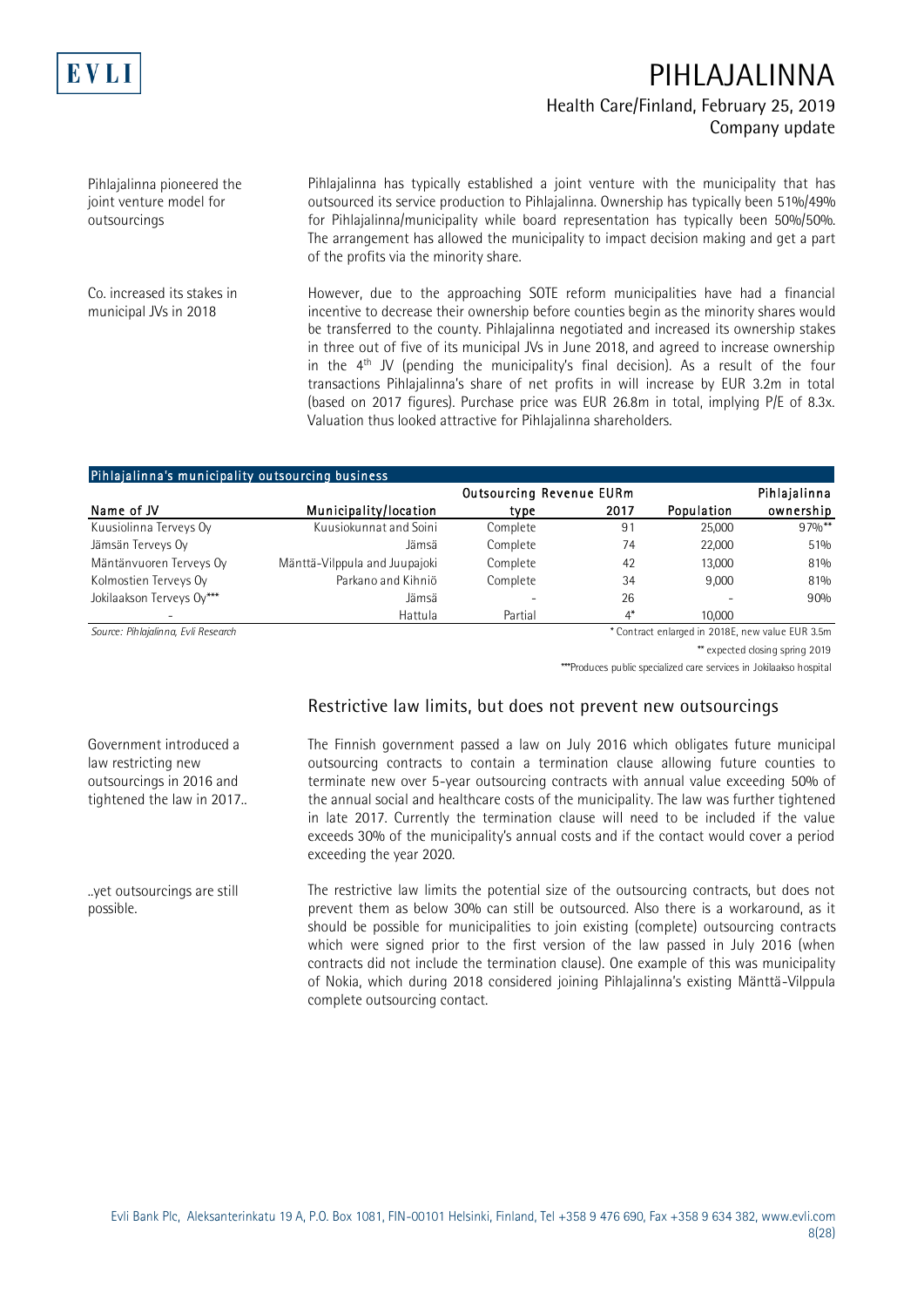

Pihlajalinna pioneered the joint venture model for outsourcings

Pihlajalinna has typically established a joint venture with the municipality that has outsourced its service production to Pihlajalinna. Ownership has typically been 51%/49% for Pihlajalinna/municipality while board representation has typically been 50%/50%. The arrangement has allowed the municipality to impact decision making and get a part of the profits via the minority share.

However, due to the approaching SOTE reform municipalities have had a financial incentive to decrease their ownership before counties begin as the minority shares would be transferred to the county. Pihlajalinna negotiated and increased its ownership stakes in three out of five of its municipal JVs in June 2018, and agreed to increase ownership in the 4<sup>th</sup> JV (pending the municipality's final decision). As a result of the four transactions Pihlajalinna's share of net profits in will increase by EUR 3.2m in total (based on 2017 figures). Purchase price was EUR 26.8m in total, implying P/E of 8.3x. Valuation thus looked attractive for Pihlajalinna shareholders. Co. increased its stakes in municipal JVs in 2018

#### Pihlajalinna's municipality outsourcing business

|                           |                               | Outsourcing Revenue EURm |       |            | Pihlajalinna |
|---------------------------|-------------------------------|--------------------------|-------|------------|--------------|
| Name of JV                | Municipality/location         | type                     | 2017  | Population | ownership    |
| Kuusiolinna Terveys Oy    | Kuusiokunnat and Soini        | Complete                 | 91    | 25,000     | $97\%$ **    |
| Jämsän Terveys Oy         | Jämsä                         | Complete                 | 74    | 22,000     | 51%          |
| Mäntänvuoren Terveys Oy   | Mänttä-Vilppula and Juupajoki | Complete                 | 42    | 13,000     | 81%          |
| Kolmostien Terveys Oy     | Parkano and Kihniö            | Complete                 | 34    | 9.000      | 81%          |
| Jokilaakson Terveys Ov*** | Jämsä                         |                          | 26    |            | 90%          |
|                           | Hattula                       | Partial                  | $4^*$ | 10,000     |              |

*Source: Pihlajalinna, Evli Research* \* Contract enlarged in 2018E, new value EUR 3.5m

\*\* expected closing spring 2019

\*\*\*Produces public specialized care services in Jokilaakso hospital

#### **Restrictive law limits, but does not prevent new outsourcings**

The Finnish government passed a law on July 2016 which obligates future municipal outsourcing contracts to contain a termination clause allowing future counties to terminate new over 5-year outsourcing contracts with annual value exceeding 50% of the annual social and healthcare costs of the municipality. The law was further tightened in late 2017. Currently the termination clause will need to be included if the value exceeds 30% of the municipality's annual costs and if the contact would cover a period exceeding the year 2020.

The restrictive law limits the potential size of the outsourcing contracts, but does not prevent them as below 30% can still be outsourced. Also there is a workaround, as it should be possible for municipalities to join existing (complete) outsourcing contracts which were signed prior to the first version of the law passed in July 2016 (when contracts did not include the termination clause). One example of this was municipality of Nokia, which during 2018 considered joining Pihlajalinna's existing Mänttä-Vilppula complete outsourcing contact.

Government introduced a law restricting new outsourcings in 2016 and tightened the law in 2017..

..yet outsourcings are still possible.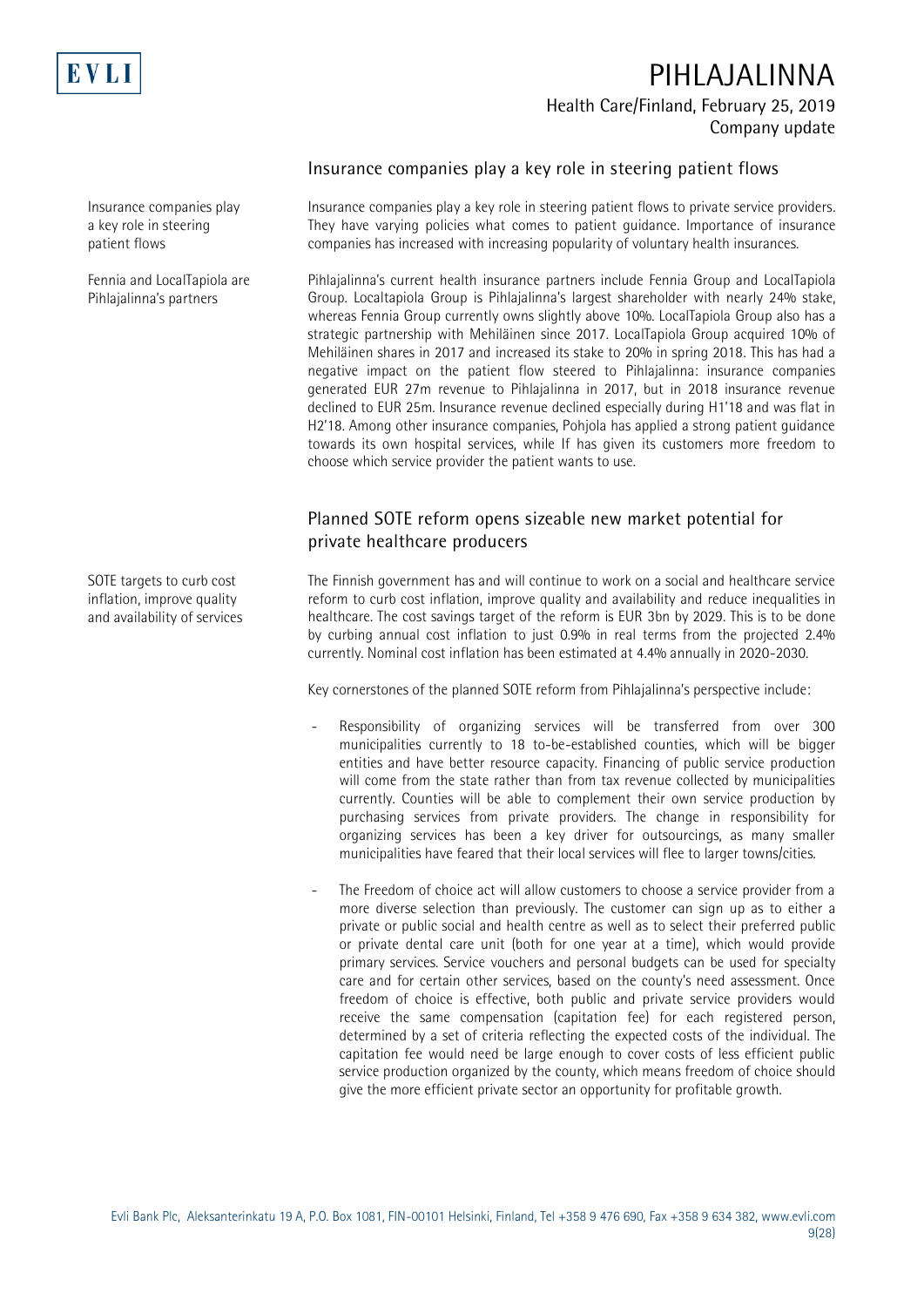

Insurance companies play a key role in steering patient flows

Fennia and LocalTapiola are Pihlajalinna's partners

SOTE targets to curb cost inflation, improve quality and availability of services **Insurance companies play a key role in steering patient flows**

Insurance companies play a key role in steering patient flows to private service providers. They have varying policies what comes to patient guidance. Importance of insurance companies has increased with increasing popularity of voluntary health insurances.

Pihlajalinna's current health insurance partners include Fennia Group and LocalTapiola Group. Localtapiola Group is Pihlajalinna's largest shareholder with nearly 24% stake, whereas Fennia Group currently owns slightly above 10%. LocalTapiola Group also has a strategic partnership with Mehiläinen since 2017. LocalTapiola Group acquired 10% of Mehiläinen shares in 2017 and increased its stake to 20% in spring 2018. This has had a negative impact on the patient flow steered to Pihlajalinna: insurance companies generated EUR 27m revenue to Pihlajalinna in 2017, but in 2018 insurance revenue declined to EUR 25m. Insurance revenue declined especially during H1'18 and was flat in H2'18. Among other insurance companies, Pohjola has applied a strong patient guidance towards its own hospital services, while If has given its customers more freedom to choose which service provider the patient wants to use.

### **Planned SOTE reform opens sizeable new market potential for private healthcare producers**

The Finnish government has and will continue to work on a social and healthcare service reform to curb cost inflation, improve quality and availability and reduce inequalities in healthcare. The cost savings target of the reform is EUR 3bn by 2029. This is to be done by curbing annual cost inflation to just 0.9% in real terms from the projected 2.4% currently. Nominal cost inflation has been estimated at 4.4% annually in 2020-2030.

Key cornerstones of the planned SOTE reform from Pihlajalinna's perspective include:

- Responsibility of organizing services will be transferred from over 300 municipalities currently to 18 to-be-established counties, which will be bigger entities and have better resource capacity. Financing of public service production will come from the state rather than from tax revenue collected by municipalities currently. Counties will be able to complement their own service production by purchasing services from private providers. The change in responsibility for organizing services has been a key driver for outsourcings, as many smaller municipalities have feared that their local services will flee to larger towns/cities.
- The Freedom of choice act will allow customers to choose a service provider from a more diverse selection than previously. The customer can sign up as to either a private or public social and health centre as well as to select their preferred public or private dental care unit (both for one year at a time), which would provide primary services. Service vouchers and personal budgets can be used for specialty care and for certain other services, based on the county's need assessment. Once freedom of choice is effective, both public and private service providers would receive the same compensation (capitation fee) for each registered person, determined by a set of criteria reflecting the expected costs of the individual. The capitation fee would need be large enough to cover costs of less efficient public service production organized by the county, which means freedom of choice should give the more efficient private sector an opportunity for profitable growth.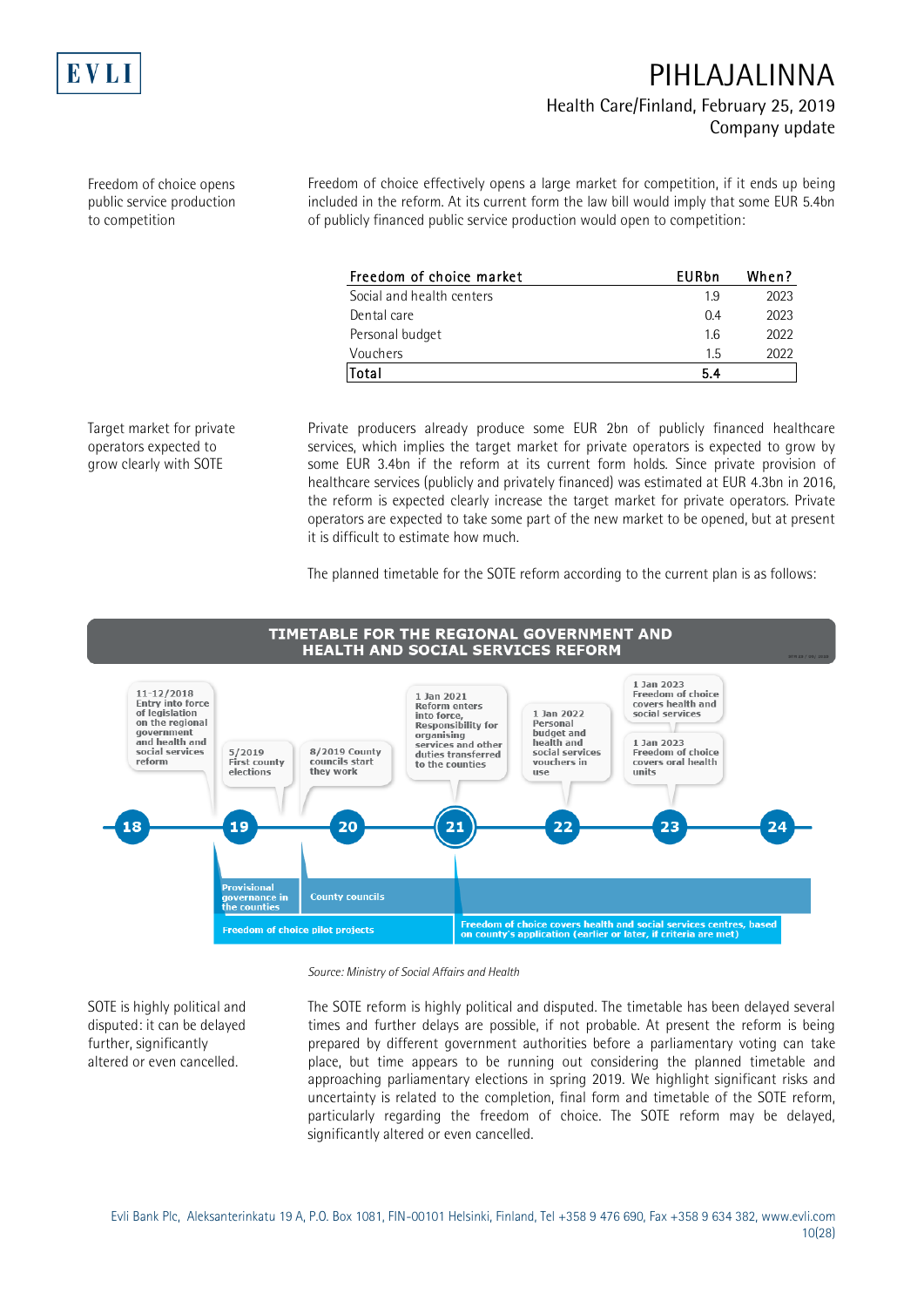

Freedom of choice opens public service production to competition

Freedom of choice effectively opens a large market for competition, if it ends up being included in the reform. At its current form the law bill would imply that some EUR 5.4bn of publicly financed public service production would open to competition:

| Freedom of choice market  | EURbn | When? |
|---------------------------|-------|-------|
| Social and health centers | 19    | 2023  |
| Dental care               | 04    | 2023  |
| Personal budget           | 16    | 2022  |
| Vouchers                  | 1.5   | 2022  |
| Total                     | 5.4   |       |

Target market for private operators expected to grow clearly with SOTE

Private producers already produce some EUR 2bn of publicly financed healthcare services, which implies the target market for private operators is expected to grow by some EUR 3.4bn if the reform at its current form holds. Since private provision of healthcare services (publicly and privately financed) was estimated at EUR 4.3bn in 2016, the reform is expected clearly increase the target market for private operators. Private operators are expected to take some part of the new market to be opened, but at present it is difficult to estimate how much.

The planned timetable for the SOTE reform according to the current plan is as follows:



#### *Source: Ministry of Social Affairs and Health*

SOTE is highly political and disputed: it can be delayed further, significantly altered or even cancelled.

The SOTE reform is highly political and disputed. The timetable has been delayed several times and further delays are possible, if not probable. At present the reform is being prepared by different government authorities before a parliamentary voting can take place, but time appears to be running out considering the planned timetable and approaching parliamentary elections in spring 2019. We highlight significant risks and uncertainty is related to the completion, final form and timetable of the SOTE reform, particularly regarding the freedom of choice. The SOTE reform may be delayed, significantly altered or even cancelled.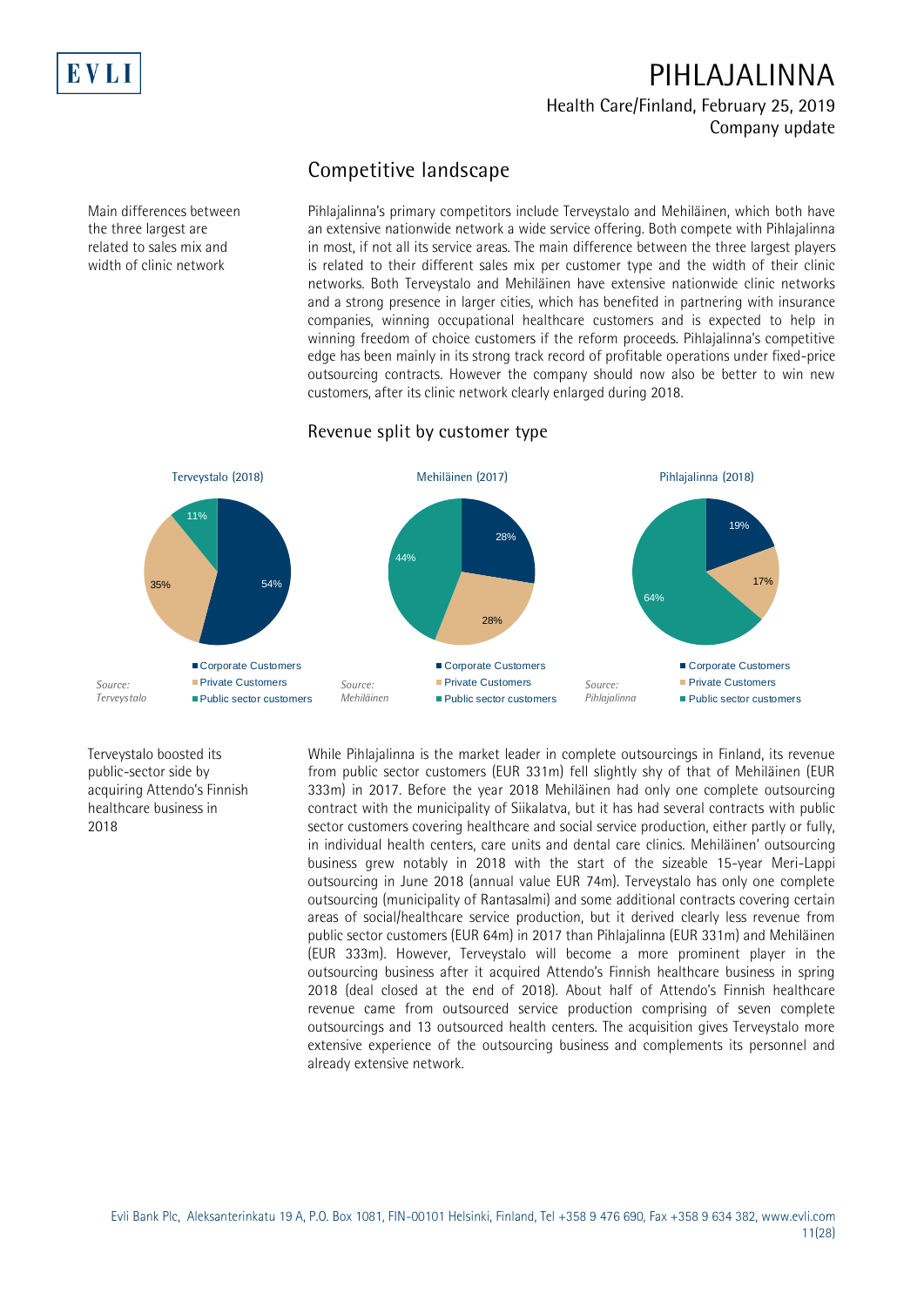

# **Competitive landscape**

Pihlajalinna's primary competitors include Terveystalo and Mehiläinen, which both have an extensive nationwide network a wide service offering. Both compete with Pihlajalinna in most, if not all its service areas. The main difference between the three largest players is related to their different sales mix per customer type and the width of their clinic networks. Both Terveystalo and Mehiläinen have extensive nationwide clinic networks and a strong presence in larger cities, which has benefited in partnering with insurance companies, winning occupational healthcare customers and is expected to help in winning freedom of choice customers if the reform proceeds. Pihlajalinna's competitive edge has been mainly in its strong track record of profitable operations under fixed-price outsourcing contracts. However the company should now also be better to win new customers, after its clinic network clearly enlarged during 2018.

#### **Revenue split by customer type**



Terveystalo boosted its public-sector side by acquiring Attendo's Finnish healthcare business in 2018

While Pihlajalinna is the market leader in complete outsourcings in Finland, its revenue from public sector customers (EUR 331m) fell slightly shy of that of Mehiläinen (EUR 333m) in 2017. Before the year 2018 Mehiläinen had only one complete outsourcing contract with the municipality of Siikalatva, but it has had several contracts with public sector customers covering healthcare and social service production, either partly or fully, in individual health centers, care units and dental care clinics. Mehiläinen' outsourcing business grew notably in 2018 with the start of the sizeable 15-year Meri-Lappi outsourcing in June 2018 (annual value EUR 74m). Terveystalo has only one complete outsourcing (municipality of Rantasalmi) and some additional contracts covering certain areas of social/healthcare service production, but it derived clearly less revenue from public sector customers (EUR 64m) in 2017 than Pihlajalinna (EUR 331m) and Mehiläinen (EUR 333m). However, Terveystalo will become a more prominent player in the outsourcing business after it acquired Attendo's Finnish healthcare business in spring 2018 (deal closed at the end of 2018). About half of Attendo's Finnish healthcare revenue came from outsourced service production comprising of seven complete outsourcings and 13 outsourced health centers. The acquisition gives Terveystalo more extensive experience of the outsourcing business and complements its personnel and already extensive network.

Main differences between the three largest are related to sales mix and width of clinic network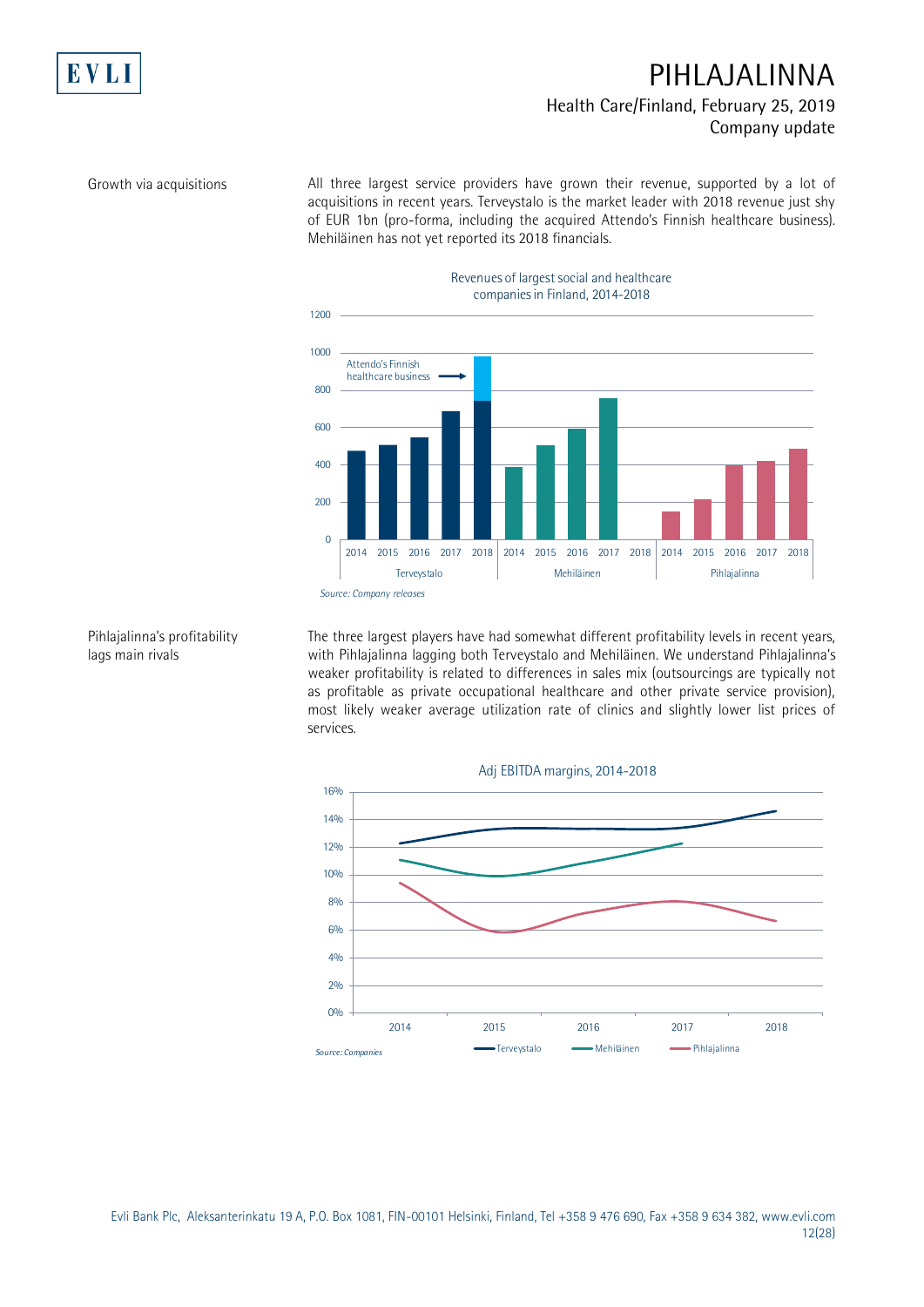

Growth via acquisitions

EVL

All three largest service providers have grown their revenue, supported by a lot of acquisitions in recent years. Terveystalo is the market leader with 2018 revenue just shy of EUR 1bn (pro-forma, including the acquired Attendo's Finnish healthcare business). Mehiläinen has not yet reported its 2018 financials.



#### Pihlajalinna's profitability lags main rivals

The three largest players have had somewhat different profitability levels in recent years, with Pihlajalinna lagging both Terveystalo and Mehiläinen. We understand Pihlajalinna's weaker profitability is related to differences in sales mix (outsourcings are typically not as profitable as private occupational healthcare and other private service provision), most likely weaker average utilization rate of clinics and slightly lower list prices of services.



Evli Bank Plc, Aleksanterinkatu 19 A, P.O. Box 1081, FIN-00101 Helsinki, Finland, Tel +358 9 476 690, Fax +358 9 634 382, [www.evli.com](http://www.evli.com/) 12(28)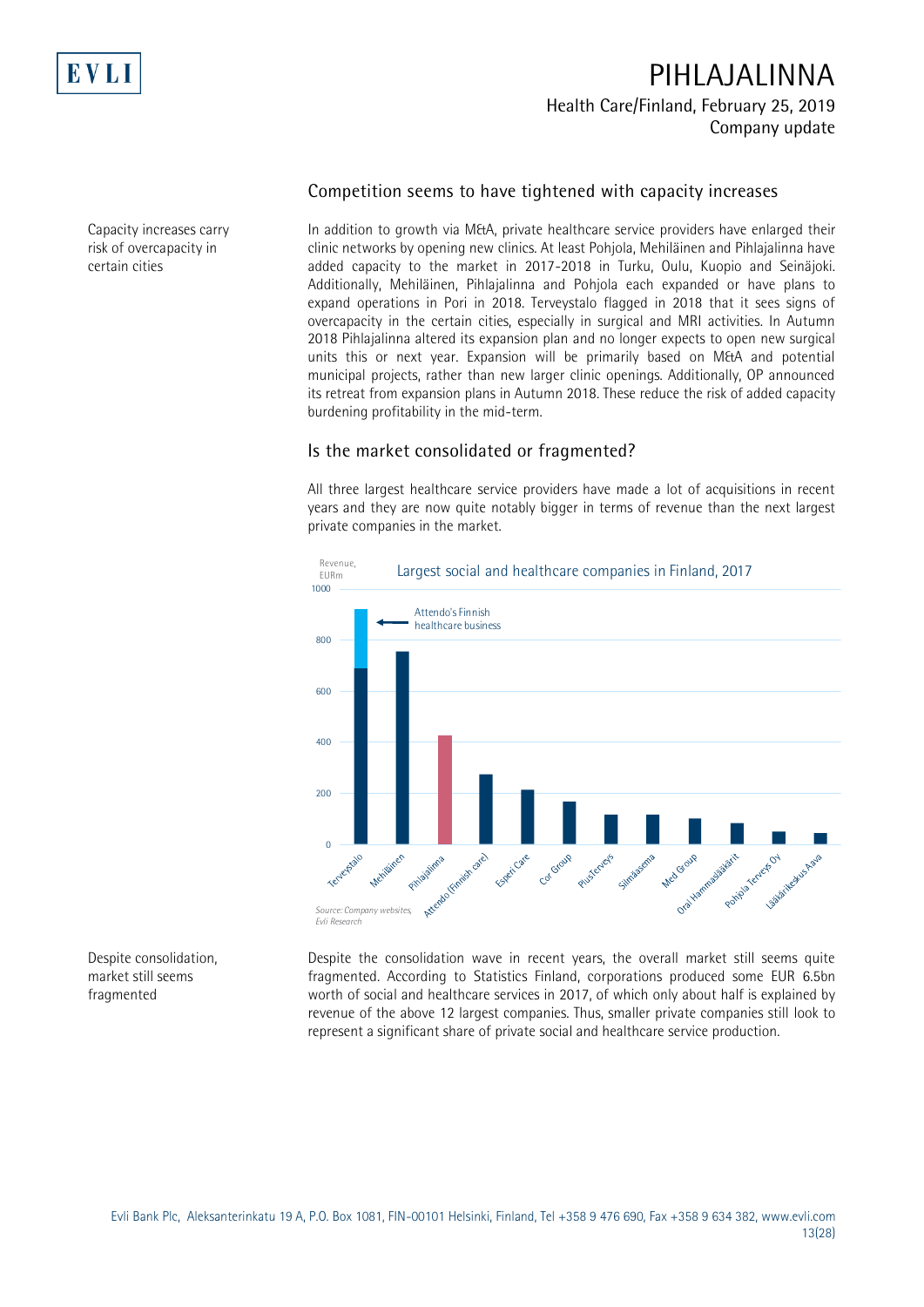

#### **Competition seems to have tightened with capacity increases**

In addition to growth via M&A, private healthcare service providers have enlarged their clinic networks by opening new clinics. At least Pohjola, Mehiläinen and Pihlajalinna have added capacity to the market in 2017-2018 in Turku, Oulu, Kuopio and Seinäjoki. Additionally, Mehiläinen, Pihlajalinna and Pohjola each expanded or have plans to expand operations in Pori in 2018. Terveystalo flagged in 2018 that it sees signs of overcapacity in the certain cities, especially in surgical and MRI activities. In Autumn 2018 Pihlajalinna altered its expansion plan and no longer expects to open new surgical units this or next year. Expansion will be primarily based on M&A and potential municipal projects, rather than new larger clinic openings. Additionally, OP announced its retreat from expansion plans in Autumn 2018. These reduce the risk of added capacity burdening profitability in the mid-term.

### **Is the market consolidated or fragmented?**

All three largest healthcare service providers have made a lot of acquisitions in recent years and they are now quite notably bigger in terms of revenue than the next largest private companies in the market.



represent a significant share of private social and healthcare service production.

Despite the consolidation wave in recent years, the overall market still seems quite fragmented. According to Statistics Finland, corporations produced some EUR 6.5bn worth of social and healthcare services in 2017, of which only about half is explained by revenue of the above 12 largest companies. Thus, smaller private companies still look to Despite consolidation, market still seems fragmented

Evli Bank Plc, Aleksanterinkatu 19 A, P.O. Box 1081, FIN-00101 Helsinki, Finland, Tel +358 9 476 690, Fax +358 9 634 382, [www.evli.com](http://www.evli.com/) 13(28)

Capacity increases carry risk of overcapacity in certain cities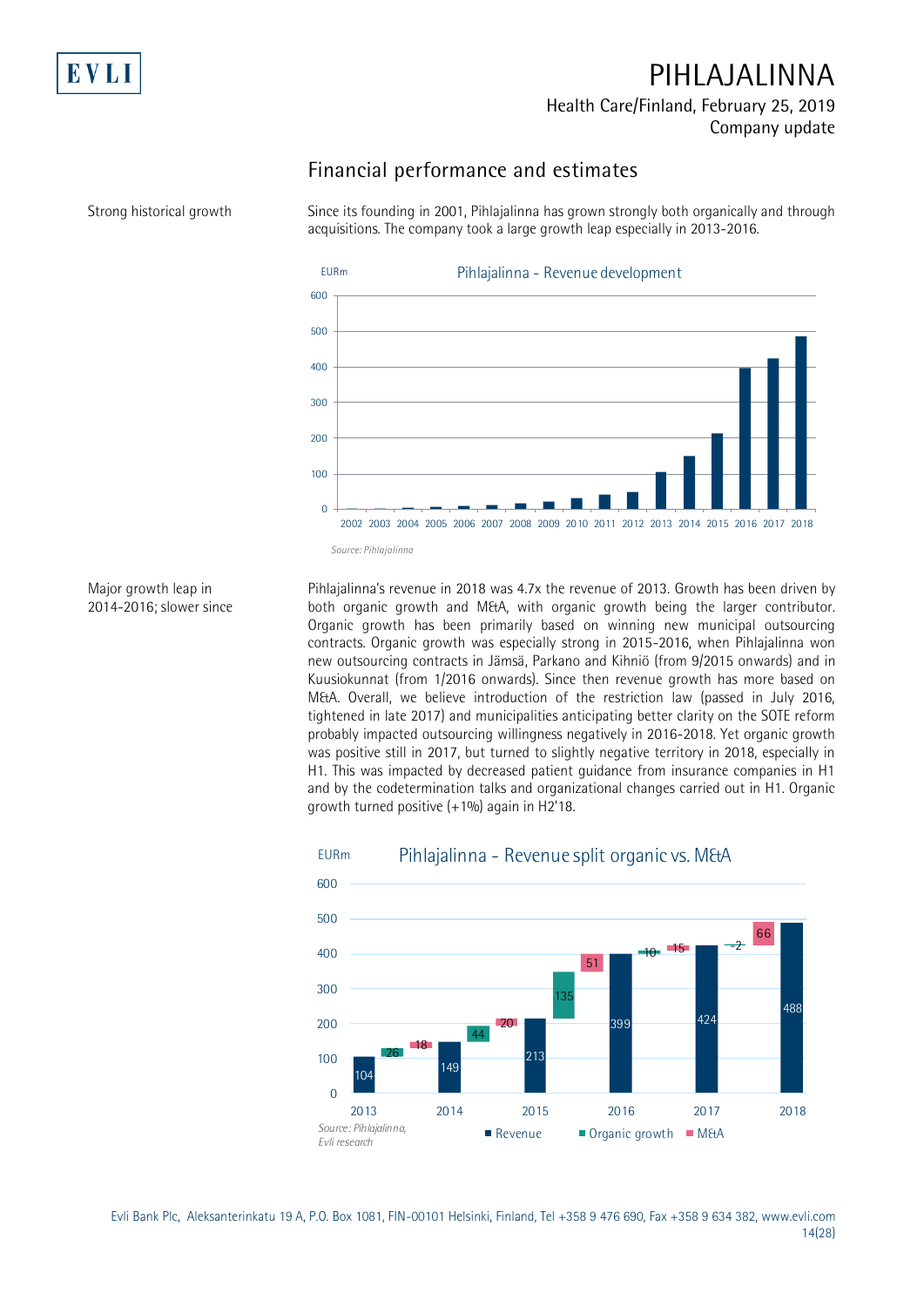

## **Financial performance and estimates**

Since its founding in 2001, Pihlajalinna has grown strongly both organically and through acquisitions. The company took a large growth leap especially in 2013-2016.



Major growth leap in 2014-2016; slower since

Pihlajalinna's revenue in 2018 was 4.7x the revenue of 2013. Growth has been driven by both organic growth and M&A, with organic growth being the larger contributor. Organic growth has been primarily based on winning new municipal outsourcing contracts. Organic growth was especially strong in 2015-2016, when Pihlajalinna won new outsourcing contracts in Jämsä, Parkano and Kihniö (from 9/2015 onwards) and in Kuusiokunnat (from 1/2016 onwards). Since then revenue growth has more based on M&A. Overall, we believe introduction of the restriction law (passed in July 2016, tightened in late 2017) and municipalities anticipating better clarity on the SOTE reform probably impacted outsourcing willingness negatively in 2016-2018. Yet organic growth was positive still in 2017, but turned to slightly negative territory in 2018, especially in H1. This was impacted by decreased patient guidance from insurance companies in H1 and by the codetermination talks and organizational changes carried out in H1. Organic growth turned positive (+1%) again in H2'18.



Evli Bank Plc, Aleksanterinkatu 19 A, P.O. Box 1081, FIN-00101 Helsinki, Finland, Tel +358 9 476 690, Fax +358 9 634 382, [www.evli.com](http://www.evli.com/) 14(28)

Strong historical growth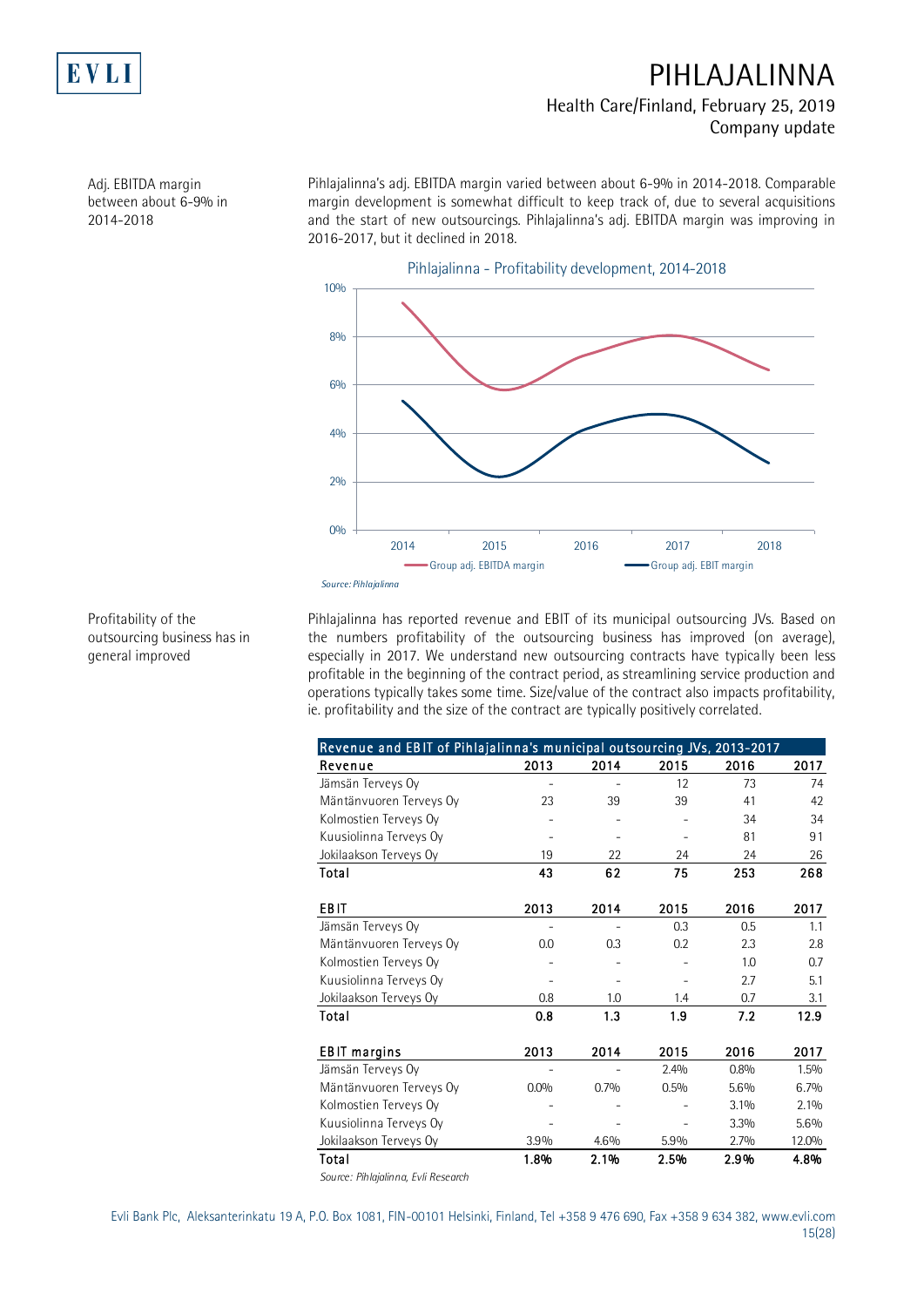

Adj. EBITDA margin between about 6-9% in 2014-2018

Pihlajalinna's adj. EBITDA margin varied between about 6-9% in 2014-2018. Comparable margin development is somewhat difficult to keep track of, due to several acquisitions and the start of new outsourcings. Pihlajalinna's adj. EBITDA margin was improving in 2016-2017, but it declined in 2018.



Profitability of the outsourcing business has in general improved

Pihlajalinna has reported revenue and EBIT of its municipal outsourcing JVs. Based on the numbers profitability of the outsourcing business has improved (on average), especially in 2017. We understand new outsourcing contracts have typically been less profitable in the beginning of the contract period, as streamlining service production and operations typically takes some time. Size/value of the contract also impacts profitability,

| Revenue and EBIT of Pihlajalinna's municipal outsourcing JVs, 2013-2017 |                |      |      |      |         |
|-------------------------------------------------------------------------|----------------|------|------|------|---------|
| Revenue                                                                 | 2013           | 2014 | 2015 | 2016 | 2017    |
| Jämsän Terveys Oy                                                       | $\overline{a}$ |      | 12   | 73   | 74      |
| Mäntänvuoren Terveys Oy                                                 | 23             | 39   | 39   | 41   | 42      |
| Kolmostien Terveys Oy                                                   |                |      |      | 34   | 34      |
| Kuusiolinna Terveys Oy                                                  |                |      |      | 81   | 91      |
| Jokilaakson Terveys Oy                                                  | 19             | 22   | 24   | 24   | 26      |
| Total                                                                   | 43             | 62   | 75   | 253  | 268     |
| <b>EBIT</b>                                                             | 2013           | 2014 | 2015 | 2016 | 2017    |
| Jämsän Terveys Oy                                                       |                |      | 0.3  | 0.5  | 1.1     |
| Mäntänvuoren Terveys Oy                                                 | 0.0            | 0.3  | 0.2  | 2.3  | 2.8     |
| Kolmostien Terveys Oy                                                   |                |      |      | 1.0  | 0.7     |
| Kuusiolinna Terveys Oy                                                  |                |      |      | 2.7  | 5.1     |
| Jokilaakson Terveys Oy                                                  | 0.8            | 1.0  | 1.4  | 0.7  | 3.1     |
| Total                                                                   | 0.8            | 1.3  | 1.9  | 7.2  | 12.9    |
| <b>EBIT</b> margins                                                     | 2013           | 2014 | 2015 | 2016 | 2017    |
| Jämsän Terveys Oy                                                       |                |      | 2.4% | 0.8% | $1.5\%$ |
| Mäntänvuoren Terveys Oy                                                 | 0.0%           | 0.7% | 0.5% | 5.6% | 6.7%    |
| Kolmostien Terveys Oy                                                   |                |      |      | 3.1% | 2.1%    |
| Kuusiolinna Terveys Oy                                                  |                |      |      | 3.3% | 5.6%    |
| Jokilaakson Terveys Oy                                                  | 3.9%           | 4.6% | 5.9% | 2.7% | 12.0%   |
| Total                                                                   | 1.8%           | 2.1% | 2.5% | 2.9% | 4.8%    |
| Courses Dictatorum Californian                                          |                |      |      |      |         |

*Source: Pihlajalinna, Evli Research*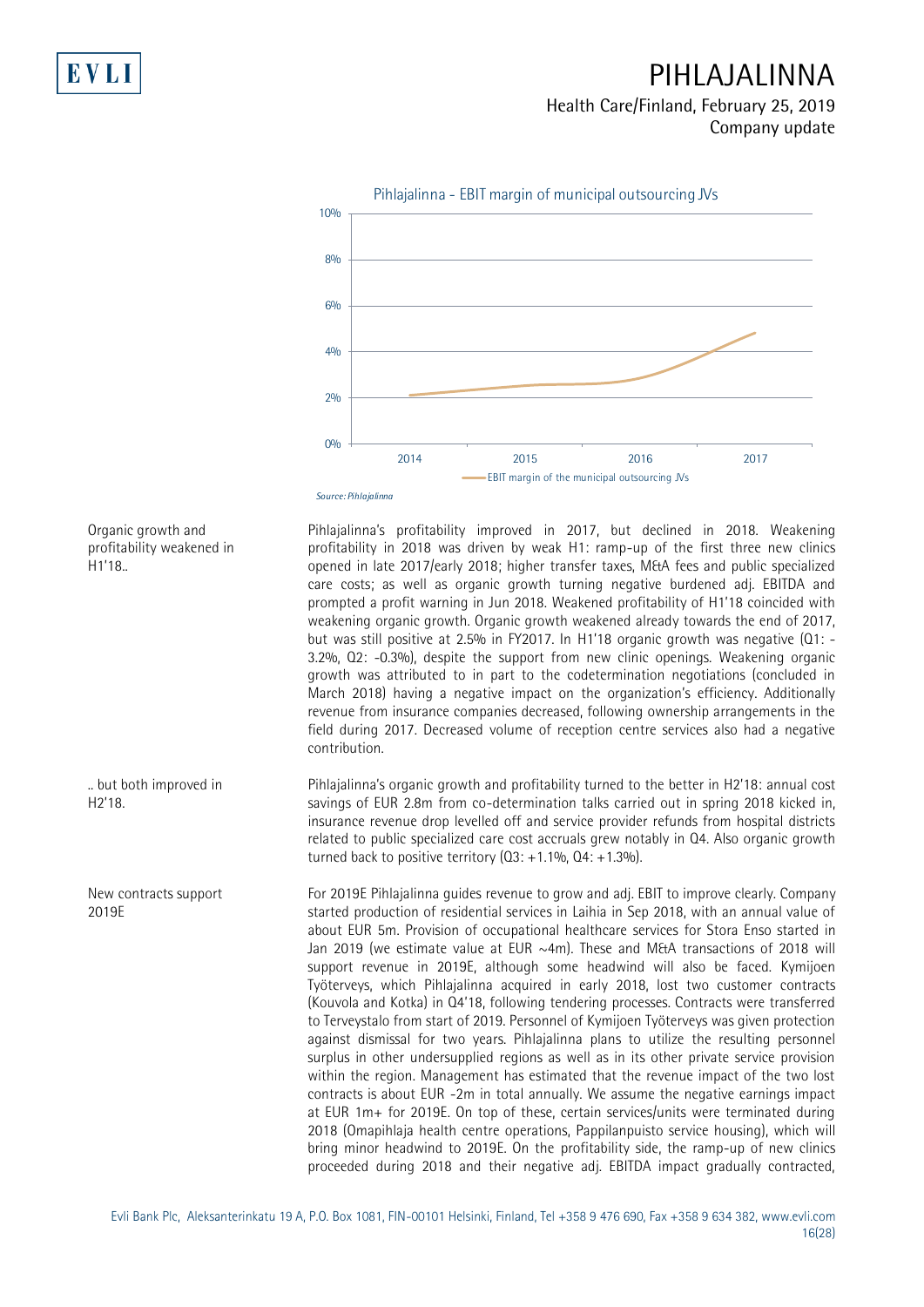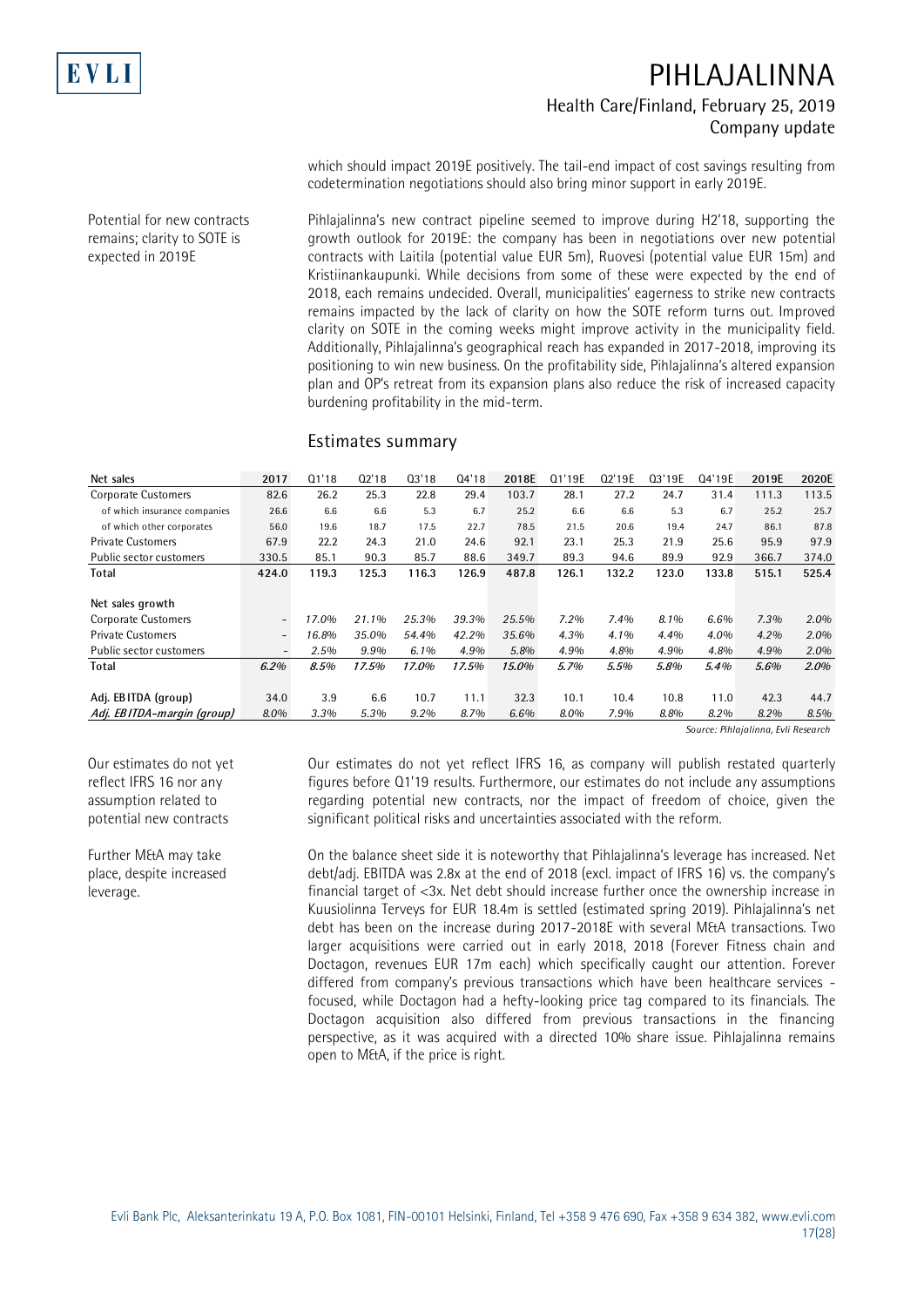

Potential for new contracts remains; clarity to SOTE is expected in 2019E

# **PIHLAJALINNA Health Care/Finland, February 25, 2019 Company update**

which should impact 2019E positively. The tail-end impact of cost savings resulting from codetermination negotiations should also bring minor support in early 2019E.

Pihlajalinna's new contract pipeline seemed to improve during H2'18, supporting the growth outlook for 2019E: the company has been in negotiations over new potential contracts with Laitila (potential value EUR 5m), Ruovesi (potential value EUR 15m) and Kristiinankaupunki. While decisions from some of these were expected by the end of 2018, each remains undecided. Overall, municipalities' eagerness to strike new contracts remains impacted by the lack of clarity on how the SOTE reform turns out. Improved clarity on SOTE in the coming weeks might improve activity in the municipality field. Additionally, Pihlajalinna's geographical reach has expanded in 2017-2018, improving its positioning to win new business. On the profitability side, Pihlajalinna's altered expansion plan and OP's retreat from its expansion plans also reduce the risk of increased capacity burdening profitability in the mid-term.

#### **Estimates summary**

| Net sales                    | 2017                     | Q1'18 | 02'18 | Q3'18   | Q4'18 | 2018E   | Q1'19E  | Q2'19E | Q3'19E | Q4'19E | 2019E | 2020E   |
|------------------------------|--------------------------|-------|-------|---------|-------|---------|---------|--------|--------|--------|-------|---------|
| <b>Corporate Customers</b>   | 82.6                     | 26.2  | 25.3  | 22.8    | 29.4  | 103.7   | 28.1    | 27.2   | 24.7   | 31.4   | 111.3 | 113.5   |
| of which insurance companies | 26.6                     | 6.6   | 6.6   | 5.3     | 6.7   | 25.2    | 6.6     | 6.6    | 5.3    | 6.7    | 25.2  | 25.7    |
| of which other corporates    | 56.0                     | 19.6  | 18.7  | 17.5    | 22.7  | 78.5    | 21.5    | 20.6   | 19.4   | 24.7   | 86.1  | 87.8    |
| <b>Private Customers</b>     | 67.9                     | 22.2  | 24.3  | 21.0    | 24.6  | 92.1    | 23.1    | 25.3   | 21.9   | 25.6   | 95.9  | 97.9    |
| Public sector customers      | 330.5                    | 85.1  | 90.3  | 85.7    | 88.6  | 349.7   | 89.3    | 94.6   | 89.9   | 92.9   | 366.7 | 374.0   |
| Total                        | 424.0                    | 119.3 | 125.3 | 116.3   | 126.9 | 487.8   | 126.1   | 132.2  | 123.0  | 133.8  | 515.1 | 525.4   |
|                              |                          |       |       |         |       |         |         |        |        |        |       |         |
| Net sales growth             |                          |       |       |         |       |         |         |        |        |        |       |         |
| <b>Corporate Customers</b>   | $\overline{\phantom{a}}$ | 17.0% | 21.1% | 25.3%   | 39.3% | 25.5%   | $7.2\%$ | 7.4%   | 8.1%   | 6.6%   | 7.3%  | $2.0\%$ |
| <b>Private Customers</b>     | $\overline{\phantom{a}}$ | 16.8% | 35.0% | 54.4%   | 42.2% | 35.6%   | 4.3%    | 4.1%   | 4.4%   | 4.0%   | 4.2%  | $2.0\%$ |
| Public sector customers      | $\overline{\phantom{a}}$ | 2.5%  | 9.9%  | $6.1\%$ | 4.9%  | 5.8%    | 4.9%    | 4.8%   | 4.9%   | 4.8%   | 4.9%  | 2.0%    |
| Total                        | $6.2\%$                  | 8.5%  | 17.5% | 17.0%   | 17.5% | 15.0%   | 5.7%    | 5.5%   | 5.8%   | 5.4%   | 5.6%  | $2.0\%$ |
|                              |                          |       |       |         |       |         |         |        |        |        |       |         |
| Adj. EBITDA (group)          | 34.0                     | 3.9   | 6.6   | 10.7    | 11.1  | 32.3    | 10.1    | 10.4   | 10.8   | 11.0   | 42.3  | 44.7    |
| Adj. EBITDA-margin (group)   | 8.0%                     | 3.3%  | 5.3%  | $9.2\%$ | 8.7%  | $6.6\%$ | 8.0%    | 7.9%   | 8.8%   | 8.2%   | 8.2%  | 8.5%    |

*Source: Pihlajalinna, Evli Research*

Our estimates do not yet reflect IFRS 16 nor any assumption related to potential new contracts

Further M&A may take place, despite increased leverage.

Our estimates do not yet reflect IFRS 16, as company will publish restated quarterly figures before Q1'19 results. Furthermore, our estimates do not include any assumptions regarding potential new contracts, nor the impact of freedom of choice, given the significant political risks and uncertainties associated with the reform.

On the balance sheet side it is noteworthy that Pihlajalinna's leverage has increased. Net debt/adj. EBITDA was 2.8x at the end of 2018 (excl. impact of IFRS 16) vs. the company's financial target of <3x. Net debt should increase further once the ownership increase in Kuusiolinna Terveys for EUR 18.4m is settled (estimated spring 2019). Pihlajalinna's net debt has been on the increase during 2017-2018E with several M&A transactions. Two larger acquisitions were carried out in early 2018, 2018 (Forever Fitness chain and Doctagon, revenues EUR 17m each) which specifically caught our attention. Forever differed from company's previous transactions which have been healthcare services focused, while Doctagon had a hefty-looking price tag compared to its financials. The Doctagon acquisition also differed from previous transactions in the financing perspective, as it was acquired with a directed 10% share issue. Pihlajalinna remains open to M&A, if the price is right.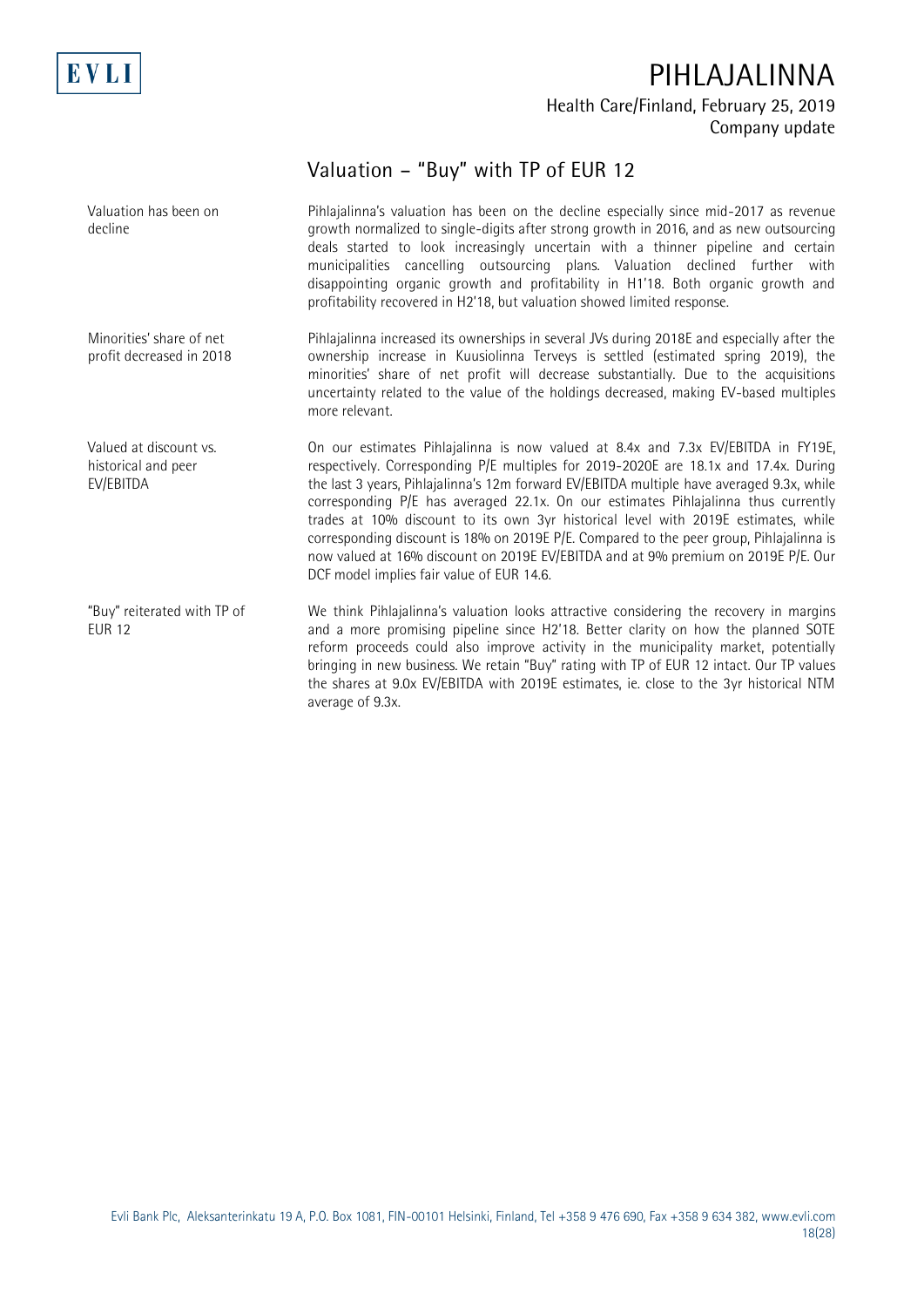

## **Valuation – "Buy" with TP of EUR 12**

Pihlajalinna's valuation has been on the decline especially since mid-2017 as revenue growth normalized to single-digits after strong growth in 2016, and as new outsourcing deals started to look increasingly uncertain with a thinner pipeline and certain municipalities cancelling outsourcing plans. Valuation declined further with disappointing organic growth and profitability in H1'18. Both organic growth and profitability recovered in H2'18, but valuation showed limited response. Pihlajalinna increased its ownerships in several JVs during 2018E and especially after the ownership increase in Kuusiolinna Terveys is settled (estimated spring 2019), the minorities' share of net profit will decrease substantially. Due to the acquisitions uncertainty related to the value of the holdings decreased, making EV-based multiples more relevant. On our estimates Pihlajalinna is now valued at 8.4x and 7.3x EV/EBITDA in FY19E, respectively. Corresponding P/E multiples for 2019-2020E are 18.1x and 17.4x. During the last 3 years, Pihlajalinna's 12m forward EV/EBITDA multiple have averaged 9.3x, while corresponding P/E has averaged 22.1x. On our estimates Pihlajalinna thus currently trades at 10% discount to its own 3yr historical level with 2019E estimates, while corresponding discount is 18% on 2019E P/E. Compared to the peer group, Pihlajalinna is now valued at 16% discount on 2019E EV/EBITDA and at 9% premium on 2019E P/E. Our DCF model implies fair value of EUR 14.6. We think Pihlajalinna's valuation looks attractive considering the recovery in margins and a more promising pipeline since H2'18. Better clarity on how the planned SOTE reform proceeds could also improve activity in the municipality market, potentially bringing in new business. We retain "Buy" rating with TP of EUR 12 intact. Our TP values the shares at 9.0x EV/EBITDA with 2019E estimates, ie. close to the 3yr historical NTM Valuation has been on decline Minorities' share of net profit decreased in 2018 Valued at discount vs. historical and peer EV/EBITDA "Buy" reiterated with TP of EUR 12

average of 9.3x.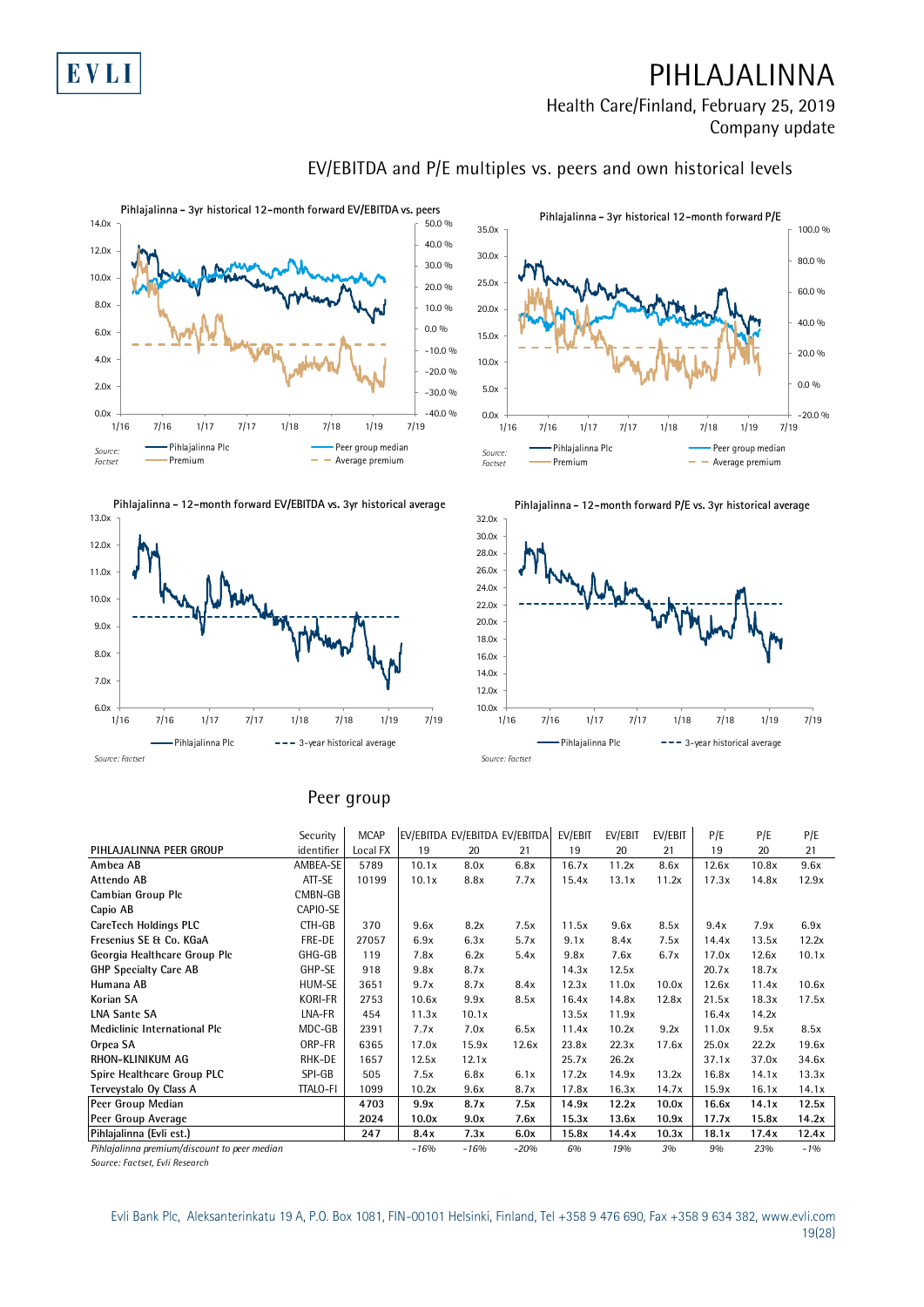



#### -20.0 %  $0.0 \%$ 20.0 % 40.0 % 60.0 % 80.0 % 100.0 %  $0.0x + 1/16$ 5.0x 10.0x 15.0x 20.0x 25.0x 30.0x 35.0x 1/16 7/16 1/17 7/17 1/18 7/18 1/19 7/19 Pihlajalinna Plc **Peer group median** Premium **- Average premium Pihlajalinna - 3yr historical 12-month forward P/E** *Source: Factset*





#### **Peer group**

|                                              |                 | Peer group  |        |        |                               |         |         |         |       |       |       |
|----------------------------------------------|-----------------|-------------|--------|--------|-------------------------------|---------|---------|---------|-------|-------|-------|
|                                              | Security        | <b>MCAP</b> |        |        | EV/EBITDA EV/EBITDA EV/EBITDA | EV/EBIT | EV/EBIT | EV/EBIT | P/E   | P/E   | P/E   |
| PIHLAJALINNA PEER GROUP                      | identifier      | Local FX    | 19     | 20     | 21                            | 19      | 20      | 21      | 19    | 20    | 21    |
| Ambea AB                                     | AMBEA-SE        | 5789        | 10.1x  | 8.0x   | 6.8x                          | 16.7x   | 11.2x   | 8.6x    | 12.6x | 10.8x | 9.6x  |
| Attendo AB                                   | ATT-SE          | 10199       | 10.1x  | 8.8x   | 7.7x                          | 15.4x   | 13.1x   | 11.2x   | 17.3x | 14.8x | 12.9x |
| Cambian Group Plc                            | CMBN-GB         |             |        |        |                               |         |         |         |       |       |       |
| Capio AB                                     | CAPIO-SE        |             |        |        |                               |         |         |         |       |       |       |
| CareTech Holdings PLC                        | CTH-GB          | 370         | 9.6x   | 8.2x   | 7.5x                          | 11.5x   | 9.6x    | 8.5x    | 9.4x  | 7.9x  | 6.9x  |
| Fresenius SE & Co. KGaA                      | FRE-DE          | 27057       | 6.9x   | 6.3x   | 5.7x                          | 9.1x    | 8.4x    | 7.5x    | 14.4x | 13.5x | 12.2x |
| Georgia Healthcare Group Plc                 | GHG-GB          | 119         | 7.8x   | 6.2x   | 5.4x                          | 9.8x    | 7.6x    | 6.7x    | 17.0x | 12.6x | 10.1x |
| <b>GHP Specialty Care AB</b>                 | GHP-SE          | 918         | 9.8x   | 8.7x   |                               | 14.3x   | 12.5x   |         | 20.7x | 18.7x |       |
| Humana AB                                    | HUM-SE          | 3651        | 9.7x   | 8.7x   | 8.4x                          | 12.3x   | 11.0x   | 10.0x   | 12.6x | 11.4x | 10.6x |
| Korian SA                                    | <b>KORI-FR</b>  | 2753        | 10.6x  | 9.9x   | 8.5x                          | 16.4x   | 14.8x   | 12.8x   | 21.5x | 18.3x | 17.5x |
| <b>LNA Sante SA</b>                          | LNA-FR          | 454         | 11.3x  | 10.1x  |                               | 13.5x   | 11.9x   |         | 16.4x | 14.2x |       |
| Mediclinic International Plc                 | MDC-GB          | 2391        | 7.7x   | 7.0x   | 6.5x                          | 11.4x   | 10.2x   | 9.2x    | 11.0x | 9.5x  | 8.5x  |
| Orpea SA                                     | ORP-FR          | 6365        | 17.0x  | 15.9x  | 12.6x                         | 23.8x   | 22.3x   | 17.6x   | 25.0x | 22.2x | 19.6x |
| RHON-KLINIKUM AG                             | RHK-DE          | 1657        | 12.5x  | 12.1x  |                               | 25.7x   | 26.2x   |         | 37.1x | 37.0x | 34.6x |
| Spire Healthcare Group PLC                   | SPI-GB          | 505         | 7.5x   | 6.8x   | 6.1x                          | 17.2x   | 14.9x   | 13.2x   | 16.8x | 14.1x | 13.3x |
| Terveystalo Oy Class A                       | <b>TTALO-FI</b> | 1099        | 10.2x  | 9.6x   | 8.7x                          | 17.8x   | 16.3x   | 14.7x   | 15.9x | 16.1x | 14.1x |
| Peer Group Median                            |                 | 4703        | 9.9x   | 8.7x   | 7.5x                          | 14.9x   | 12.2x   | 10.0x   | 16.6x | 14.1x | 12.5x |
| Peer Group Average                           |                 | 2024        | 10.0x  | 9.0x   | 7.6x                          | 15.3x   | 13.6x   | 10.9x   | 17.7x | 15.8x | 14.2x |
| Pihlajalinna (Evli est.)                     |                 | 247         | 8.4x   | 7.3x   | 6.0x                          | 15.8x   | 14.4x   | 10.3x   | 18.1x | 17.4x | 12.4x |
| Pihlajalinna premium/discount to peer median |                 |             | $-16%$ | $-16%$ | $-20%$                        | 6%      | 19%     | 3%      | 9%    | 23%   | $-1%$ |

*Source: Factset, Evli Research*

## **EV/EBITDA and P/E multiples vs. peers and own historical levels**

**Pihlajalinna - 12-month forward P/E vs. 3yr historical average**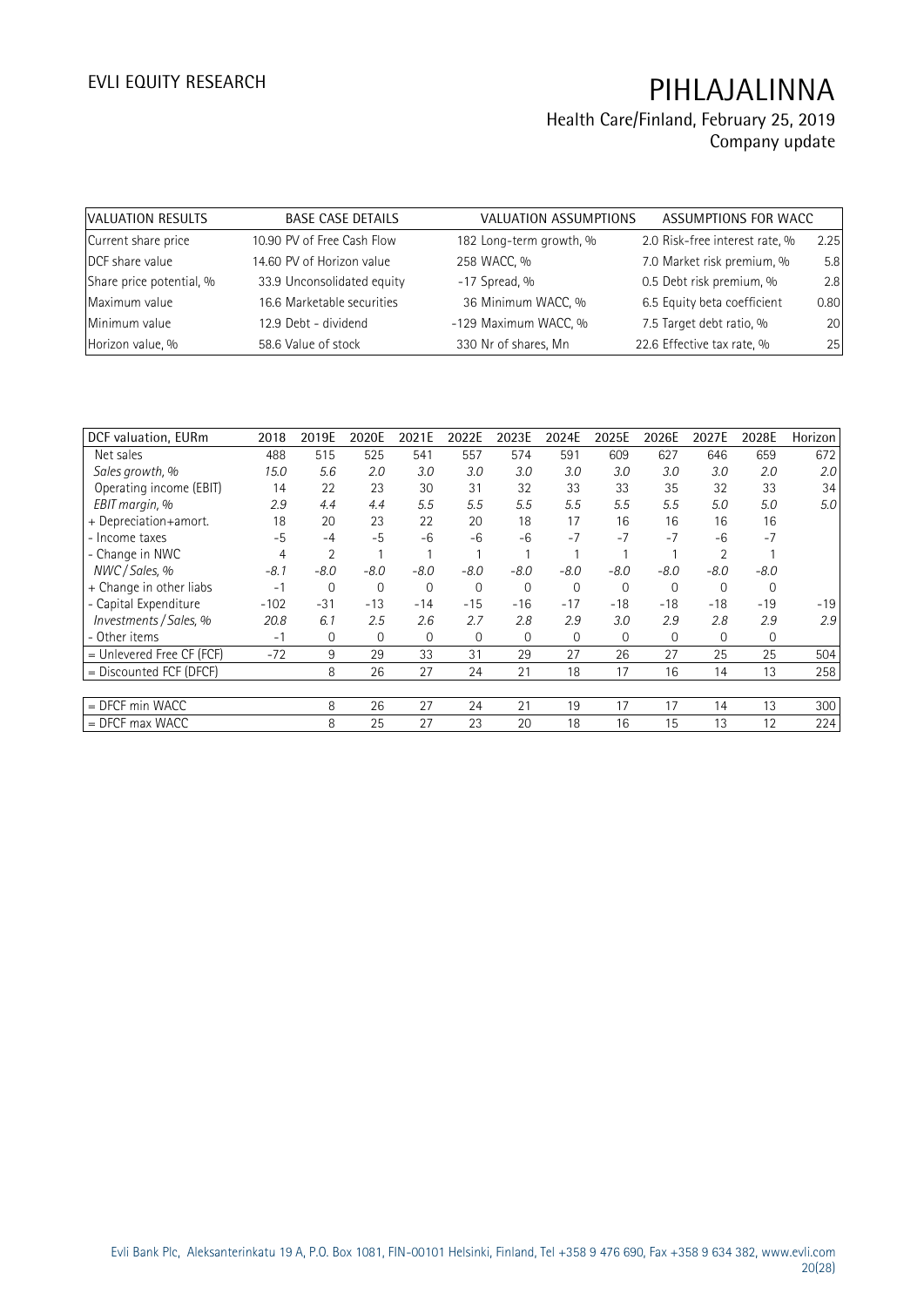| VALUATION RESULTS        | <b>BASE CASE DETAILS</b>   | VALUATION ASSUMPTIONS   | ASSUMPTIONS FOR WACC           |      |
|--------------------------|----------------------------|-------------------------|--------------------------------|------|
| Current share price      | 10.90 PV of Free Cash Flow | 182 Long-term growth, % | 2.0 Risk-free interest rate, % | 2.25 |
| DCF share value          | 14.60 PV of Horizon value  | 258 WACC, %             | 7.0 Market risk premium, %     | 5.8  |
| Share price potential, % | 33.9 Unconsolidated equity | $-17$ Spread, %         | 0.5 Debt risk premium, %       | 2.8  |
| Maximum value            | 16.6 Marketable securities | 36 Minimum WACC, %      | 6.5 Equity beta coefficient    | 0.80 |
| Minimum value            | 12.9 Debt - dividend       | -129 Maximum WACC, %    | 7.5 Target debt ratio, %       | 20   |
| Horizon value, %         | 58.6 Value of stock        | 330 Nr of shares, Mn    | 22.6 Effective tax rate, %     | 25   |

| DCF valuation, EURm       | 2018   | 2019E          | 2020E    | 2021E  | 2022E          | 2023E    | 2024E        | 2025E       | 2026E          | 2027E    | 2028E    | Horizon |
|---------------------------|--------|----------------|----------|--------|----------------|----------|--------------|-------------|----------------|----------|----------|---------|
| Net sales                 | 488    | 515            | 525      | 541    | 557            | 574      | 591          | 609         | 627            | 646      | 659      | 672     |
| Sales growth, %           | 15.0   | 5.6            | 2.0      | 3.0    | 3.0            | 3.0      | 3.0          | 3.0         | 3.0            | 3.0      | 2.0      | 2.0     |
| Operating income (EBIT)   | 14     | 22             | 23       | 30     | 31             | 32       | 33           | 33          | 35             | 32       | 33       | 34      |
| EBIT margin, %            | 2.9    | 4.4            | 4.4      | 5.5    | 5.5            | 5.5      | 5.5          | 5.5         | 5.5            | 5.0      | 5.0      | 5.0     |
| + Depreciation+amort.     | 18     | 20             | 23       | 22     | 20             | 18       | 17           | 16          | 16             | 16       | 16       |         |
| - Income taxes            | $-5$   | $-4$           | $-5$     | $-6$   | $-6$           | -6       | $-7$         | $-7$        | $-7$           | $-6$     | $-7$     |         |
| - Change in NWC           | 4      | $\overline{2}$ |          |        |                |          |              |             |                |          |          |         |
| NWC / Sales, %            | $-8.1$ | $-8.0$         | $-8.0$   | $-8.0$ | $-8.0$         | $-8.0$   | $-8.0$       | $-8.0$      | $-8.0$         | $-8.0$   | $-8.0$   |         |
| + Change in other liabs   | $-1$   | 0              | $\Omega$ | 0      | $\overline{0}$ | $\Omega$ | $\mathbf{0}$ | $\mathbf 0$ | 0              | $\Omega$ | $\Omega$ |         |
| - Capital Expenditure     | $-102$ | $-31$          | $-13$    | $-14$  | $-15$          | $-16$    | $-17$        | -18         | $-18$          | $-18$    | $-19$    | $-19$   |
| Investments / Sales, %    | 20.8   | 6.1            | 2.5      | 2.6    | 2.7            | 2.8      | 2.9          | 3.0         | 2.9            | 2.8      | 2.9      | 2.9     |
| - Other items             | $-1$   | $\overline{0}$ | $\Omega$ | 0      | $\mathbf{0}$   | $\Omega$ | $\mathbf{0}$ | 0           | $\overline{0}$ | $\Omega$ | 0        |         |
| = Unlevered Free CF (FCF) | $-72$  | 9              | 29       | 33     | 31             | 29       | 27           | 26          | 27             | 25       | 25       | 504     |
| = Discounted FCF (DFCF)   |        | 8              | 26       | 27     | 24             | 21       | 18           | 17          | 16             | 14       | 13       | 258     |
|                           |        |                |          |        |                |          |              |             |                |          |          |         |
| $=$ DFCF min WACC         |        | 8              | 26       | 27     | 24             | 21       | 19           | 17          | 17             | 14       | 13       | 300     |
| $=$ DFCF max WACC         |        | 8              | 25       | 27     | 23             | 20       | 18           | 16          | 15             | 13       | 12       | 224     |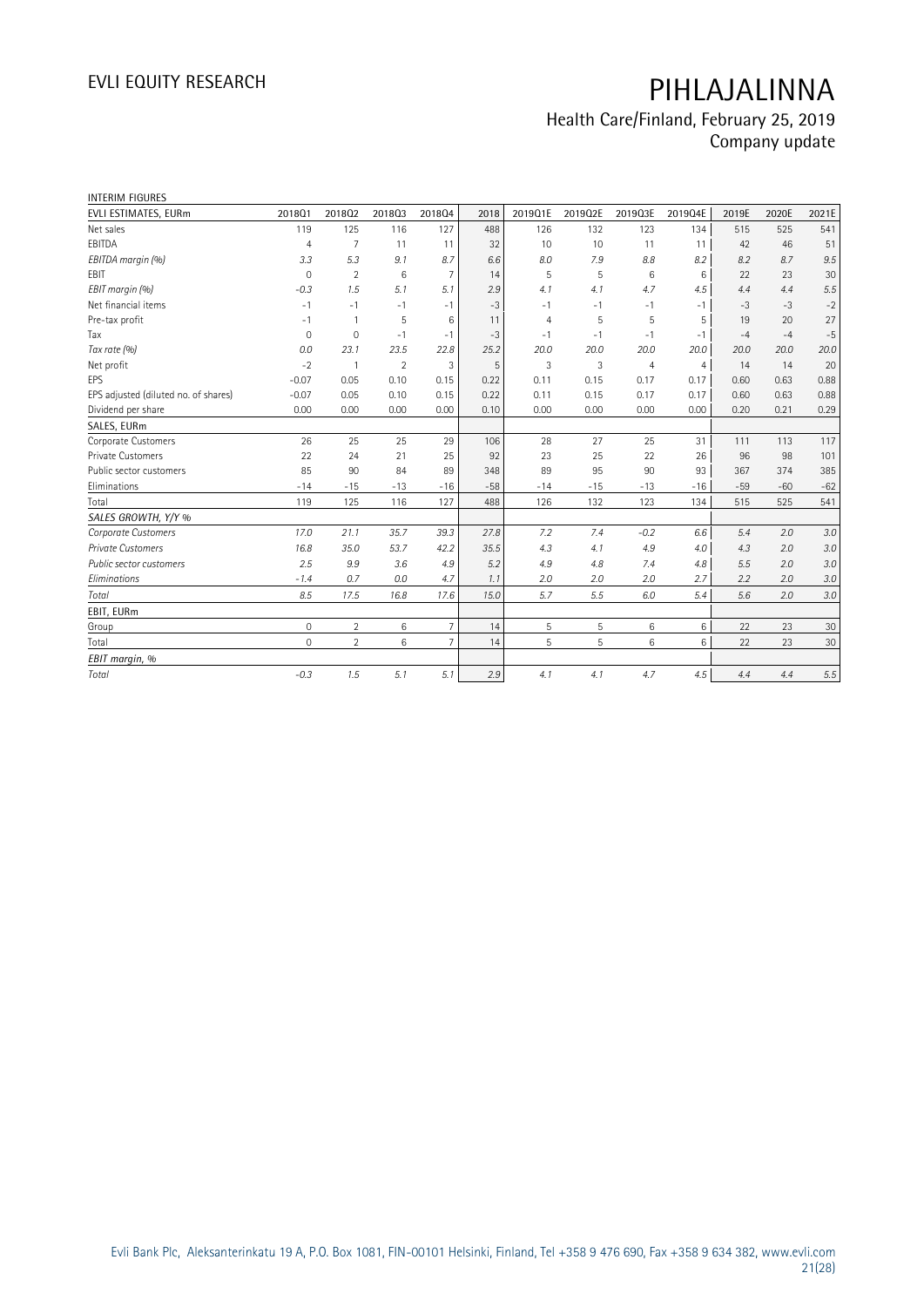| <b>INTERIM FIGURES</b>               |                |                |                |                 |       |                |         |                |                |       |       |         |
|--------------------------------------|----------------|----------------|----------------|-----------------|-------|----------------|---------|----------------|----------------|-------|-------|---------|
| EVLI ESTIMATES, EURm                 | 201801         | 201802         | 201803         | 201804          | 2018  | 2019Q1E        | 2019Q2E | 2019Q3E        | 2019Q4E        | 2019E | 2020E | 2021E   |
| Net sales                            | 119            | 125            | 116            | 127             | 488   | 126            | 132     | 123            | 134            | 515   | 525   | 541     |
| EBITDA                               | $\overline{4}$ | 7              | 11             | 11              | 32    | 10             | 10      | 11             | 11             | 42    | 46    | 51      |
| EBITDA margin (%)                    | 3.3            | 5.3            | 9.1            | 8.7             | 6.6   | 8.0            | 7.9     | 8.8            | 8.2            | 8.2   | 8.7   | 9.5     |
| <b>EBIT</b>                          | $\mathbf 0$    | $\overline{2}$ | 6              | $\overline{7}$  | 14    | 5              | 5       | 6              | 6              | 22    | 23    | 30      |
| EBIT margin (%)                      | $-0.3$         | 1.5            | 5.1            | 5.1             | 2.9   | 4.1            | 4.1     | 4.7            | 4.5            | 4.4   | 4.4   | 5.5     |
| Net financial items                  | $-1$           | $-1$           | $-1$           | $-1$            | $-3$  | $-1$           | $-1$    | $-1$           | $-1$           | $-3$  | $-3$  | $-2$    |
| Pre-tax profit                       | $-1$           |                | 5              | 6               | 11    | $\overline{4}$ | 5       | 5              | 5              | 19    | 20    | 27      |
| Tax                                  | $\mathbf 0$    | $\mathbf 0$    | $-1$           | $-1$            | $-3$  | $-1$           | $-1$    | $-1$           | $-1$           | $-4$  | $-4$  | $-5$    |
| Tax rate (%)                         | 0.0            | 23.1           | 23.5           | 22.8            | 25.2  | 20.0           | 20.0    | 20.0           | 20.0           | 20.0  | 20.0  | 20.0    |
| Net profit                           | $-2$           |                | $\overline{2}$ | 3               | 5     | 3              | 3       | $\overline{4}$ | $\overline{4}$ | 14    | 14    | 20      |
| EPS                                  | $-0.07$        | 0.05           | 0.10           | 0.15            | 0.22  | 0.11           | 0.15    | 0.17           | 0.17           | 0.60  | 0.63  | 0.88    |
| EPS adjusted (diluted no. of shares) | $-0.07$        | 0.05           | 0.10           | 0.15            | 0.22  | 0.11           | 0.15    | 0.17           | 0.17           | 0.60  | 0.63  | 0.88    |
| Dividend per share                   | 0.00           | 0.00           | 0.00           | 0.00            | 0.10  | 0.00           | 0.00    | 0.00           | 0.00           | 0.20  | 0.21  | 0.29    |
| SALES, EURm                          |                |                |                |                 |       |                |         |                |                |       |       |         |
| Corporate Customers                  | 26             | 25             | 25             | 29              | 106   | 28             | 27      | 25             | 31             | 111   | 113   | 117     |
| Private Customers                    | 22             | 24             | 21             | 25              | 92    | 23             | 25      | 22             | 26             | 96    | 98    | 101     |
| Public sector customers              | 85             | 90             | 84             | 89              | 348   | 89             | 95      | 90             | 93             | 367   | 374   | 385     |
| Eliminations                         | $-14$          | $-15$          | $-13$          | $-16$           | $-58$ | $-14$          | $-15$   | $-13$          | $-16$          | $-59$ | $-60$ | $-62$   |
| Total                                | 119            | 125            | 116            | 127             | 488   | 126            | 132     | 123            | 134            | 515   | 525   | 541     |
| SALES GROWTH, Y/Y %                  |                |                |                |                 |       |                |         |                |                |       |       |         |
| Corporate Customers                  | 17.0           | 21.1           | 35.7           | 39.3            | 27.8  | 7.2            | 7.4     | $-0.2$         | 6.6            | 5.4   | 2.0   | 3.0     |
| <b>Private Customers</b>             | 16.8           | 35.0           | 53.7           | 42.2            | 35.5  | 4.3            | 4.1     | 4.9            | 4.0            | 4.3   | 2.0   | 3.0     |
| Public sector customers              | 2.5            | 9.9            | 3.6            | 4.9             | 5.2   | 4.9            | 4.8     | 7.4            | 4.8            | 5.5   | 2.0   | 3.0     |
| Eliminations                         | $-1.4$         | 0.7            | 0.0            | 4.7             | 1.1   | 2.0            | 2.0     | 2.0            | 2.7            | 2.2   | 2.0   | 3.0     |
| Total                                | 8.5            | 17.5           | 16.8           | 17.6            | 15.0  | 5.7            | 5.5     | 6.0            | 5.4            | 5.6   | 2.0   | 3.0     |
| EBIT, EURm                           |                |                |                |                 |       |                |         |                |                |       |       |         |
| Group                                | $\mathbf 0$    | $\overline{2}$ | 6              | $\overline{7}$  | 14    | 5              | 5       | 6              | 6              | 22    | 23    | 30      |
| Total                                | $\Omega$       | $\overline{2}$ | 6              | $7\overline{ }$ | 14    | 5              | 5       | 6              | 6              | 22    | 23    | 30      |
| EBIT margin, %                       |                |                |                |                 |       |                |         |                |                |       |       |         |
| Total                                | $-0.3$         | 1.5            | 5.1            | 5.1             | 2.9   | 4.1            | 4.1     | 4.7            | 4.5            | 4.4   | 4.4   | $5.5\,$ |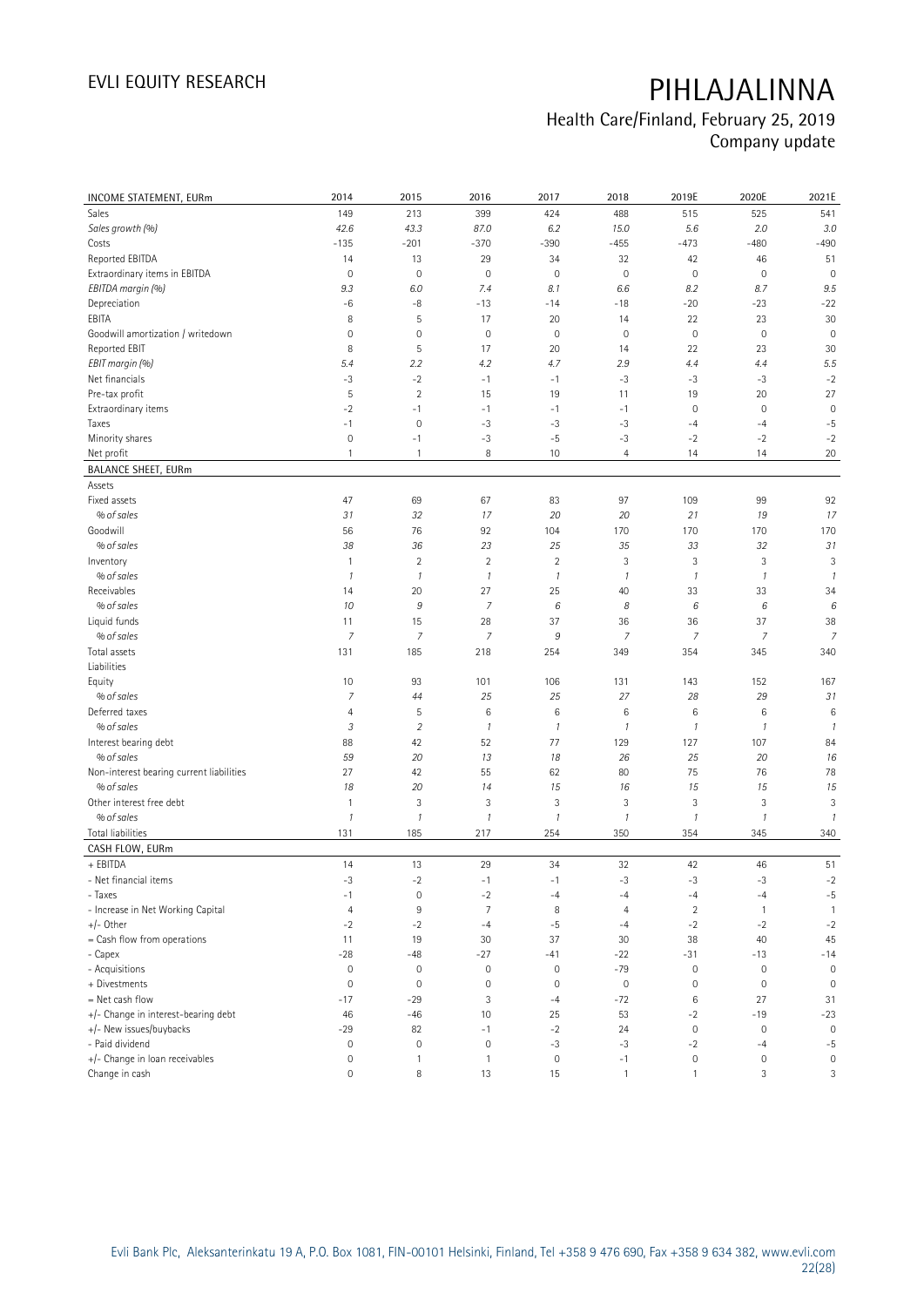| INCOME STATEMENT, EURm                   | 2014                | 2015           | 2016           | 2017                | 2018             | 2019E               | 2020E                     | 2021E          |
|------------------------------------------|---------------------|----------------|----------------|---------------------|------------------|---------------------|---------------------------|----------------|
| Sales                                    | 149                 | 213            | 399            | 424                 | 488              | 515                 | 525                       | 541            |
| Sales growth (%)                         | 42.6                | 43.3           | 87.0           | 6.2                 | 15.0             | 5.6                 | 2.0                       | 3.0            |
| Costs                                    | $-135$              | $-201$         | $-370$         | $-390$              | $-455$           | $-473$              | $-480$                    | $-490$         |
| Reported EBITDA                          | 14                  | 13             | 29             | 34                  | 32               | 42                  | 46                        | 51             |
| Extraordinary items in EBITDA            | $\mathbb O$         | $\mathbf 0$    | $\mathbf 0$    | $\mathbf 0$         | $\mathbf 0$      | $\mathsf{O}\xspace$ | $\mathbf 0$               | $\mathbf 0$    |
| EBITDA margin (%)                        | 9.3                 | 6.0            | 7.4            | 8.1                 | 6.6              | 8.2                 | 8.7                       | 9.5            |
| Depreciation                             | -6                  | -8             | $-13$          | $-14$               | $-18$            | $-20$               | $-23$                     | $-22$          |
| EBITA                                    | 8                   | $\mathsf S$    | 17             | 20                  | 14               | 22                  | 23                        | 30             |
| Goodwill amortization / writedown        | $\mathsf{O}\xspace$ | $\mathbf 0$    | $\mathbf 0$    | $\mathbf 0$         | $\mathbf 0$      | $\mathbf 0$         | $\mathbf 0$               | $\mathbf 0$    |
| Reported EBIT                            | 8                   | $\mathsf S$    | 17             | 20                  | 14               | 22                  | 23                        | 30             |
| EBIT margin (%)                          | 5.4                 | 2.2            | 4.2            | 4.7                 | 2.9              | 4.4                 | 4.4                       | 5.5            |
| Net financials                           | $-3$                | $-2$           | $-1$           | $-1$                | $-3$             | $-3$                | $-3$                      | $-2$           |
| Pre-tax profit                           | 5                   | $\sqrt{2}$     | 15             | 19                  | 11               | 19                  | 20                        | 27             |
| Extraordinary items                      | $-2$                | $-1$           | $-1$           | $-1$                | $-1$             | $\mathsf{O}\xspace$ | $\mathbf 0$               | $\mathbf 0$    |
| Taxes                                    | $-1$                | $\mathbf 0$    | $-3$           | $-3$                | $-3$             | $-4$                | $-4$                      | $-5$           |
| Minority shares                          | $\mathsf{O}\xspace$ | $-1$           | $-3$           | $-5$                | $-3$             | $-2$                | $-2$                      | $-2$           |
| Net profit                               | $\mathbf{1}$        | $\mathbf{1}$   | 8              | 10                  | $\overline{4}$   | 14                  | 14                        | 20             |
| <b>BALANCE SHEET, EURm</b>               |                     |                |                |                     |                  |                     |                           |                |
| Assets                                   |                     |                |                |                     |                  |                     |                           |                |
| Fixed assets                             | 47                  | 69             | 67             | 83                  | 97               | 109                 | 99                        | 92             |
| % of sales                               | 31                  | 32             | 17             | 20                  | 20               | 21                  | 19                        | 17             |
| Goodwill                                 | 56                  | 76             | 92             | 104                 | 170              | 170                 | 170                       | 170            |
| % of sales                               | 38                  | 36             | 23             | 25                  | 35               | 33                  | 32                        | 31             |
| Inventory                                | $\mathbf{1}$        | $\sqrt{2}$     | $\overline{2}$ | $\overline{2}$      | 3                | 3                   | $\ensuremath{\mathsf{3}}$ | 3              |
| % of sales                               | $\mathcal{I}$       | $\mathcal{I}$  | $\mathcal{I}$  | $\mathcal{I}$       | $\mathbf{1}$     | $\mathcal{I}$       | $\mathcal{I}$             | $\mathcal{I}$  |
| Receivables                              | 14                  | 20             | 27             | 25                  | 40               | 33                  | 33                        | 34             |
| % of sales                               | 10                  | 9              | $\overline{7}$ | 6                   | 8                | 6                   | 6                         | 6              |
| Liquid funds                             | 11                  | 15             | 28             | 37                  | 36               | 36                  | 37                        | 38             |
| % of sales                               | $\overline{7}$      | 7              | $\overline{7}$ | 9                   | $\overline{7}$   | 7                   | $\overline{7}$            | $\overline{7}$ |
| Total assets                             | 131                 | 185            | 218            | 254                 | 349              | 354                 | 345                       | 340            |
| Liabilities                              |                     |                |                |                     |                  |                     |                           |                |
| Equity                                   | 10                  | 93             | 101            | 106                 | 131              | 143                 | 152                       | 167            |
| % of sales                               | $\overline{7}$      | 44             | 25             | 25                  | 27               | 28                  | 29                        | 31             |
| Deferred taxes                           | $\overline{4}$      | $\mathsf S$    | $\,6$          | 6                   | $\,6$            | $\,6$               | 6                         | 6              |
| % of sales                               | $\mathfrak{Z}$      | $\overline{2}$ | $\mathcal{I}$  | $\boldsymbol{\eta}$ | $\overline{1}$   | 1                   | $\mathcal{I}$             | $\mathcal{I}$  |
| Interest bearing debt                    | 88                  | 42             | 52             | 77                  | 129              | 127                 | 107                       | 84             |
| % of sales                               | 59                  | 20             | 13             | 18                  | 26               | 25                  | 20                        | 16             |
| Non-interest bearing current liabilities | 27                  | 42             | 55             | 62                  | 80               | 75                  | 76                        | 78             |
| % of sales                               | 18                  | 20             | 14             | 15                  | 16               | 15                  | 15                        | 15             |
| Other interest free debt                 | $\mathbf{1}$        | $\sqrt{3}$     | 3              | 3                   | 3                | $\sqrt{3}$          | 3                         | 3              |
| % of sales                               | $\mathcal{I}$       | $\mathcal{I}$  | $\mathcal{I}$  | $\boldsymbol{\eta}$ | $\mathbf{1}$     | 1                   | $\mathcal{I}$             | $\mathcal{I}$  |
| <b>Total liabilities</b>                 | 131                 | 185            | 217            | 254                 | 350              | 354                 | 345                       | 340            |
| CASH FLOW, EURm                          |                     |                |                |                     |                  |                     |                           |                |
| + EBITDA                                 | 14                  | 13             | 29             | 34                  | 32               | 42                  | 46                        | 51             |
| - Net financial items                    | -3                  | $-2$           | $-1$           | $-1$                | $-3$             | -3                  | $-3$                      | $-2$           |
| - Taxes                                  | $-1$                | $\mathbf 0$    | $-2$           | $-4$                | -4               | $-4$                | $-4$                      | $-5$           |
| - Increase in Net Working Capital        | $\overline{4}$      | $\,9$          | $\overline{7}$ | 8                   | $\overline{4}$   | $\sqrt{2}$          | $\mathbf{1}$              | $\mathbf{1}$   |
| $+/-$ Other                              | $-2$                | $-2$           | $-4$           | $-5$                | $-4$             | $-2$                | $-2$                      | $-2$           |
| = Cash flow from operations              | 11                  | 19             | 30             | 37                  | 30               | 38                  | 40                        | 45             |
| - Capex                                  | $-28$               | $-48$          | $-27$          | $-41$               | $-22$            | $-31$               | $-13$                     | $-14$          |
| - Acquisitions                           | $\mathsf{O}\xspace$ | $\mathbf 0$    | $\mathbf 0$    | $\mathbf 0$         | $-79$            | $\mathbb O$         | $\mathbf 0$               | $\mathbf 0$    |
| + Divestments                            | $\mathbf 0$         | $\mathbf 0$    | $\mathbb O$    | $\mathbf 0$         | $\boldsymbol{0}$ | $\mathbb O$         | $\mathbf 0$               | $\mathbf 0$    |
| = Net cash flow                          | $-17$               | $-29$          | 3              | $-4$                | $-72$            | $\,6$               | 27                        | 31             |
| +/- Change in interest-bearing debt      | 46                  | $-46$          | 10             | 25                  | 53               | $-2$                | $-19$                     | $-23$          |
| +/- New issues/buybacks                  | $-29$               | 82             | $-1$           | $-2$                | 24               | $\mathbb O$         | $\mathbf 0$               | $\mathbb O$    |
| - Paid dividend                          | $\mathsf{O}\xspace$ | $\mathbf 0$    | $\mathbf 0$    | $-3$                | $-3$             | $-2$                | $-4$                      | $-5$           |
| +/- Change in loan receivables           | $\mathsf{O}\xspace$ | $\mathbf{1}$   | $\mathbf{1}$   | $\mathbb O$         | $-1$             | $\mathbb O$         | $\mathbf 0$               | $\mathbb O$    |
| Change in cash                           | 0                   | 8              | 13             | 15                  | $\overline{1}$   | $\mathbf{1}$        | 3                         | 3              |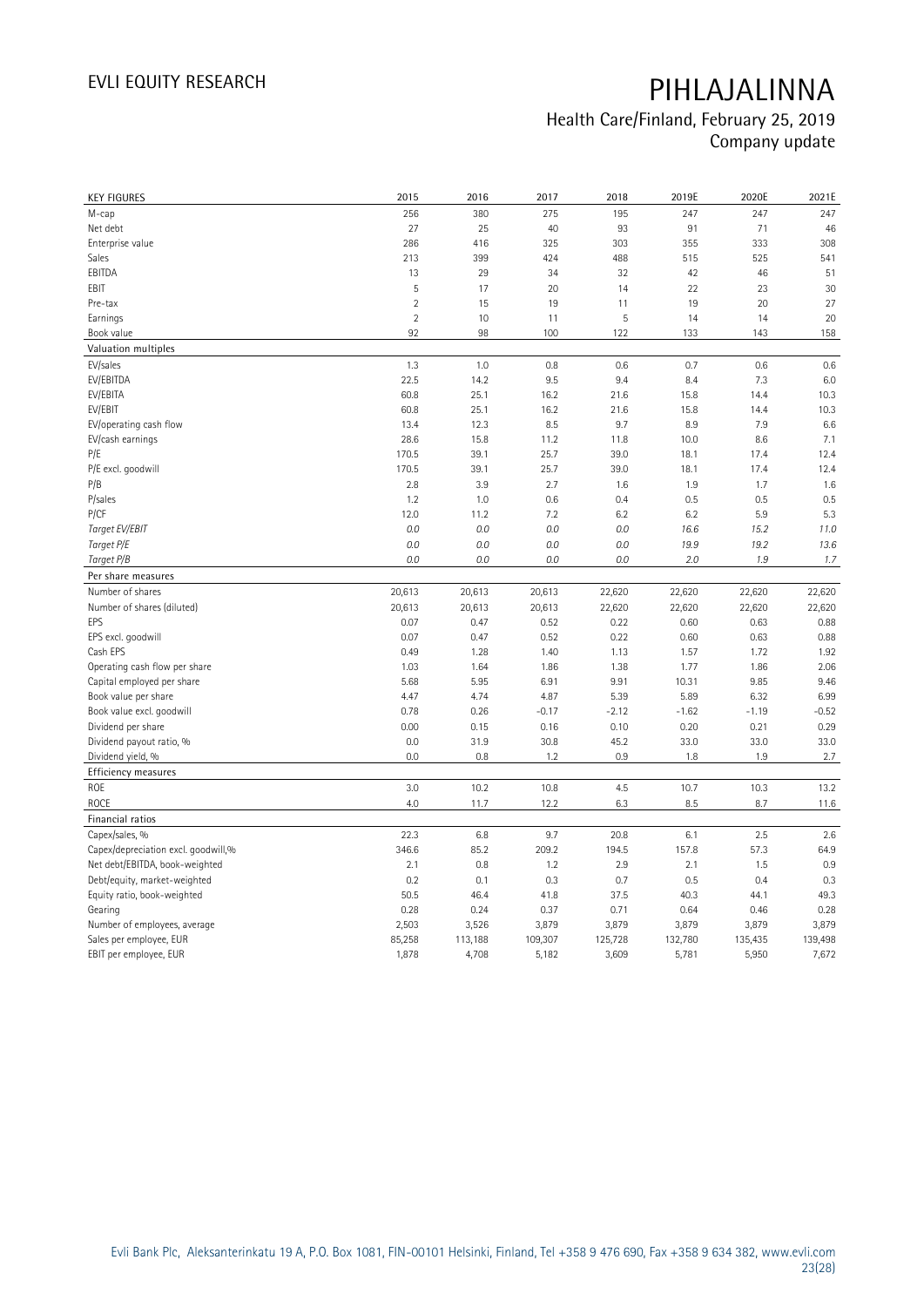| <b>KEY FIGURES</b>                  | 2015           | 2016    | 2017          | 2018    | 2019E         | 2020E         | 2021E   |
|-------------------------------------|----------------|---------|---------------|---------|---------------|---------------|---------|
| М-сар                               | 256            | 380     | 275           | 195     | 247           | 247           | 247     |
| Net debt                            | 27             | 25      | 40            | 93      | 91            | 71            | 46      |
| Enterprise value                    | 286            | 416     | 325           | 303     | 355           | 333           | 308     |
| Sales                               | 213            | 399     | 424           | 488     | 515           | 525           | 541     |
| EBITDA                              | 13             | 29      | 34            | 32      | 42            | 46            | 51      |
| EBIT                                | 5              | 17      | 20            | 14      | 22            | 23            | 30      |
| Pre-tax                             | $\overline{2}$ | 15      | 19            | 11      | 19            | 20            | 27      |
| Earnings                            | $\overline{2}$ | 10      | 11            | 5       | 14            | 14            | 20      |
| Book value                          | 92             | 98      | 100           | 122     | 133           | 143           | 158     |
| Valuation multiples                 |                |         |               |         |               |               |         |
| EV/sales                            | 1.3            | 1.0     | 0.8           | 0.6     | 0.7           | 0.6           | 0.6     |
| EV/EBITDA                           | 22.5           | 14.2    | 9.5           | 9.4     | 8.4           | 7.3           | 6.0     |
| EV/EBITA                            | 60.8           | 25.1    | 16.2          | 21.6    | 15.8          | 14.4          | 10.3    |
| EV/EBIT                             | 60.8           | 25.1    | 16.2          | 21.6    | 15.8          | 14.4          | 10.3    |
| EV/operating cash flow              | 13.4           | 12.3    | 8.5           | 9.7     | 8.9           | 7.9           | 6.6     |
| EV/cash earnings                    | 28.6           | 15.8    | 11.2          | 11.8    | 10.0          | 8.6           | 7.1     |
| P/E                                 | 170.5          | 39.1    | 25.7          | 39.0    | 18.1          | 17.4          | 12.4    |
| P/E excl. goodwill                  | 170.5          | 39.1    | 25.7          | 39.0    | 18.1          | 17.4          | 12.4    |
| P/B                                 | 2.8            | 3.9     | 2.7           | 1.6     | 1.9           | 1.7           | 1.6     |
| P/sales                             | 1.2            | 1.0     | 0.6           | 0.4     | 0.5           | 0.5           | 0.5     |
| P/CF                                | 12.0           | 11.2    | 7.2           | 6.2     | 6.2           | 5.9           | 5.3     |
| Target EV/EBIT                      | 0.0            | 0.0     | 0.0           | 0.0     | 16.6          | 15.2          | 11.0    |
| Target P/E                          | 0.0            | 0.0     | 0.0           | 0.0     | 19.9          | 19.2          | 13.6    |
| Target P/B                          | 0.0            | 0.0     | 0.0           | 0.0     | 2.0           | 1.9           | 1.7     |
| Per share measures                  |                |         |               |         |               |               |         |
| Number of shares                    | 20,613         | 20,613  | 20,613        | 22,620  | 22,620        | 22,620        | 22,620  |
| Number of shares (diluted)          | 20,613         | 20,613  | 20,613        | 22,620  | 22,620        | 22,620        | 22,620  |
| EPS                                 | 0.07           | 0.47    | 0.52          | 0.22    | 0.60          | 0.63          | 0.88    |
| EPS excl. goodwill                  | 0.07           | 0.47    | 0.52          | 0.22    | 0.60          | 0.63          | 0.88    |
| Cash EPS                            | 0.49           | 1.28    | 1.40          | 1.13    | 1.57          | 1.72          | 1.92    |
| Operating cash flow per share       | 1.03           | 1.64    | 1.86          | 1.38    | 1.77          | 1.86          | 2.06    |
| Capital employed per share          | 5.68           | 5.95    | 6.91          | 9.91    | 10.31         | 9.85          | 9.46    |
| Book value per share                | 4.47           | 4.74    | 4.87          | 5.39    | 5.89          | 6.32          | 6.99    |
| Book value excl. goodwill           | 0.78           | 0.26    | $-0.17$       | $-2.12$ | $-1.62$       | $-1.19$       | $-0.52$ |
| Dividend per share                  | 0.00           | 0.15    | 0.16          | 0.10    | 0.20          | 0.21          | 0.29    |
| Dividend payout ratio, %            | 0.0            | 31.9    | 30.8          | 45.2    | 33.0          | 33.0          | 33.0    |
| Dividend yield, %                   | 0.0            | 0.8     | 1.2           | 0.9     | 1.8           | 1.9           | 2.7     |
| <b>Efficiency measures</b>          |                |         |               |         |               |               |         |
| ROE                                 | 3.0            | 10.2    | 10.8          | 4.5     | 10.7          | 10.3          | 13.2    |
| <b>ROCE</b>                         | 4.0            | 11.7    | 12.2          | 6.3     | 8.5           | 8.7           | 11.6    |
| Financial ratios                    |                |         |               |         |               |               |         |
| Capex/sales, %                      | 22.3           | 6.8     | 9.7           | 20.8    | 6.1           | 2.5           | 2.6     |
| Capex/depreciation excl. goodwill,% | 346.6          | 85.2    | 209.2         | 194.5   | 157.8         | 57.3          | 64.9    |
| Net debt/EBITDA, book-weighted      | 2.1            | 0.8     | 1.2           | 2.9     | 2.1           | 1.5           | 0.9     |
| Debt/equity, market-weighted        | 0.2            | 0.1     | 0.3           | 0.7     | 0.5           | 0.4           | 0.3     |
|                                     | 50.5           | 46.4    | 41.8          | 37.5    | 40.3          | 44.1          | 49.3    |
| Equity ratio, book-weighted         |                | 0.24    |               | 0.71    |               |               | 0.28    |
| Gearing                             | 0.28<br>2,503  | 3,526   | 0.37<br>3,879 | 3,879   | 0.64<br>3,879 | 0.46<br>3,879 | 3,879   |
| Number of employees, average        | 85,258         |         | 109,307       | 125,728 | 132,780       | 135,435       | 139,498 |
| Sales per employee, EUR             |                | 113,188 |               |         |               |               |         |
| EBIT per employee, EUR              | 1,878          | 4,708   | 5,182         | 3,609   | 5,781         | 5,950         | 7,672   |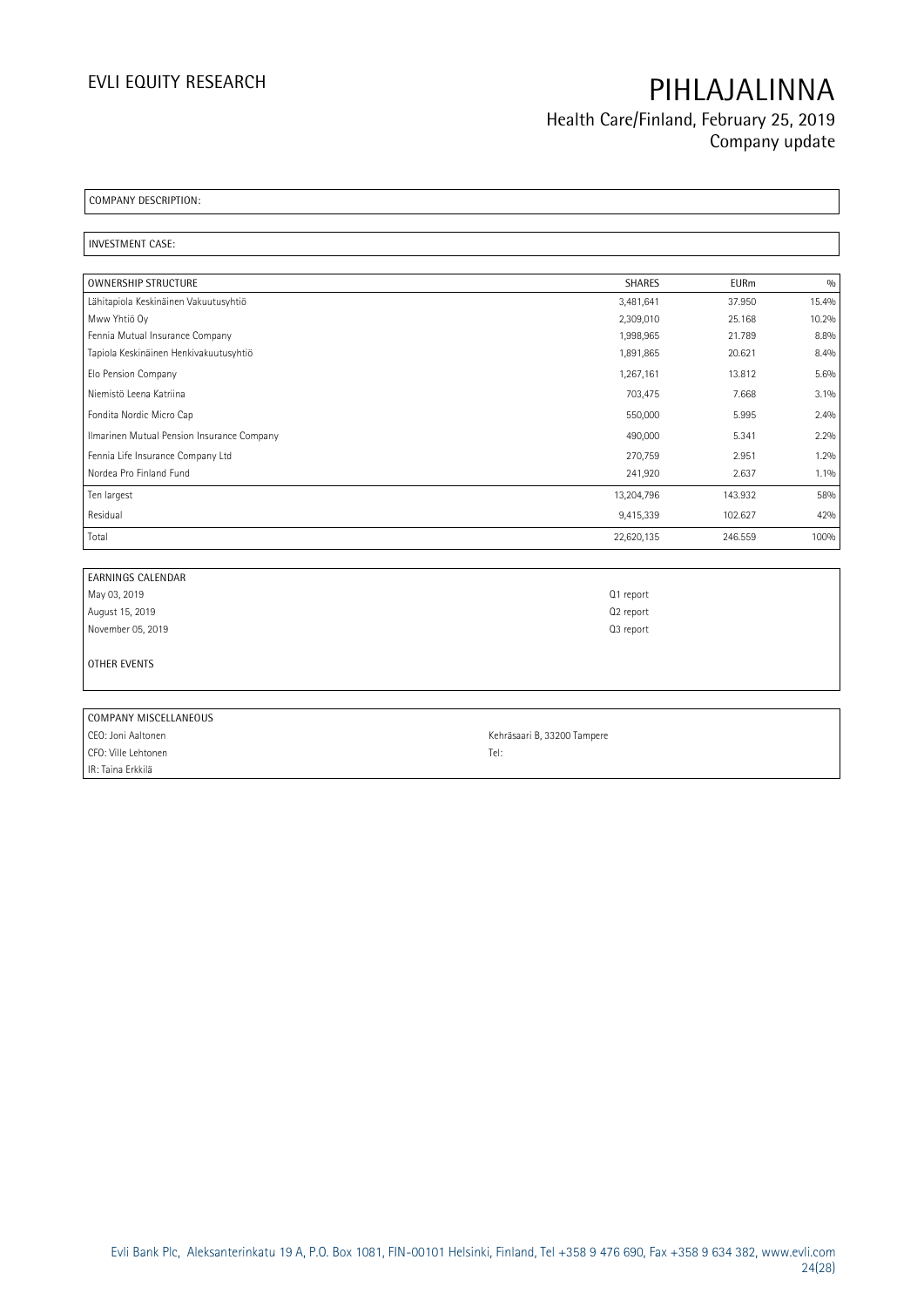**Health Care/Finland, February 25, 2019 Company update**

**COMPANY DESCRIPTION:** 

**INVESTMENT CASE:** 

| <b>OWNERSHIP STRUCTURE</b>                 | <b>SHARES</b> | <b>EURm</b> | 0/0     |
|--------------------------------------------|---------------|-------------|---------|
| Lähitapiola Keskinäinen Vakuutusyhtiö      | 3,481,641     | 37.950      | 15.4%   |
| Mww Yhtiö Oy                               | 2,309,010     | 25.168      | 10.2%   |
| Fennia Mutual Insurance Company            | 1,998,965     | 21.789      | 8.8%    |
| Tapiola Keskinäinen Henkivakuutusyhtiö     | 1,891,865     | 20.621      | 8.4%    |
| Elo Pension Company                        | 1,267,161     | 13.812      | 5.6%    |
| Niemistö Leena Katriina                    | 703,475       | 7.668       | 3.1%    |
| Fondita Nordic Micro Cap                   | 550,000       | 5.995       | 2.4%    |
| Ilmarinen Mutual Pension Insurance Company | 490,000       | 5.341       | 2.2%    |
| Fennia Life Insurance Company Ltd          | 270,759       | 2.951       | 1.2%    |
| Nordea Pro Finland Fund                    | 241,920       | 2.637       | $1.1\%$ |
| Ten largest                                | 13,204,796    | 143.932     | 58%     |
| Residual                                   | 9,415,339     | 102.627     | 42%     |
| Total                                      | 22,620,135    | 246.559     | 100%    |

| <b>EARNINGS CALENDAR</b> |                       |
|--------------------------|-----------------------|
| May 03, 2019             | Q1 report             |
| August 15, 2019          | Q <sub>2</sub> report |
| November 05, 2019        | Q3 report             |
|                          |                       |
| OTHER EVENTS             |                       |
|                          |                       |

| COMPANY MISCELLANEOUS |                             |
|-----------------------|-----------------------------|
| CEO: Joni Aaltonen    | Kehräsaari B, 33200 Tampere |
| CFO: Ville Lehtonen   | Tel:                        |
| IR: Taina Erkkilä     |                             |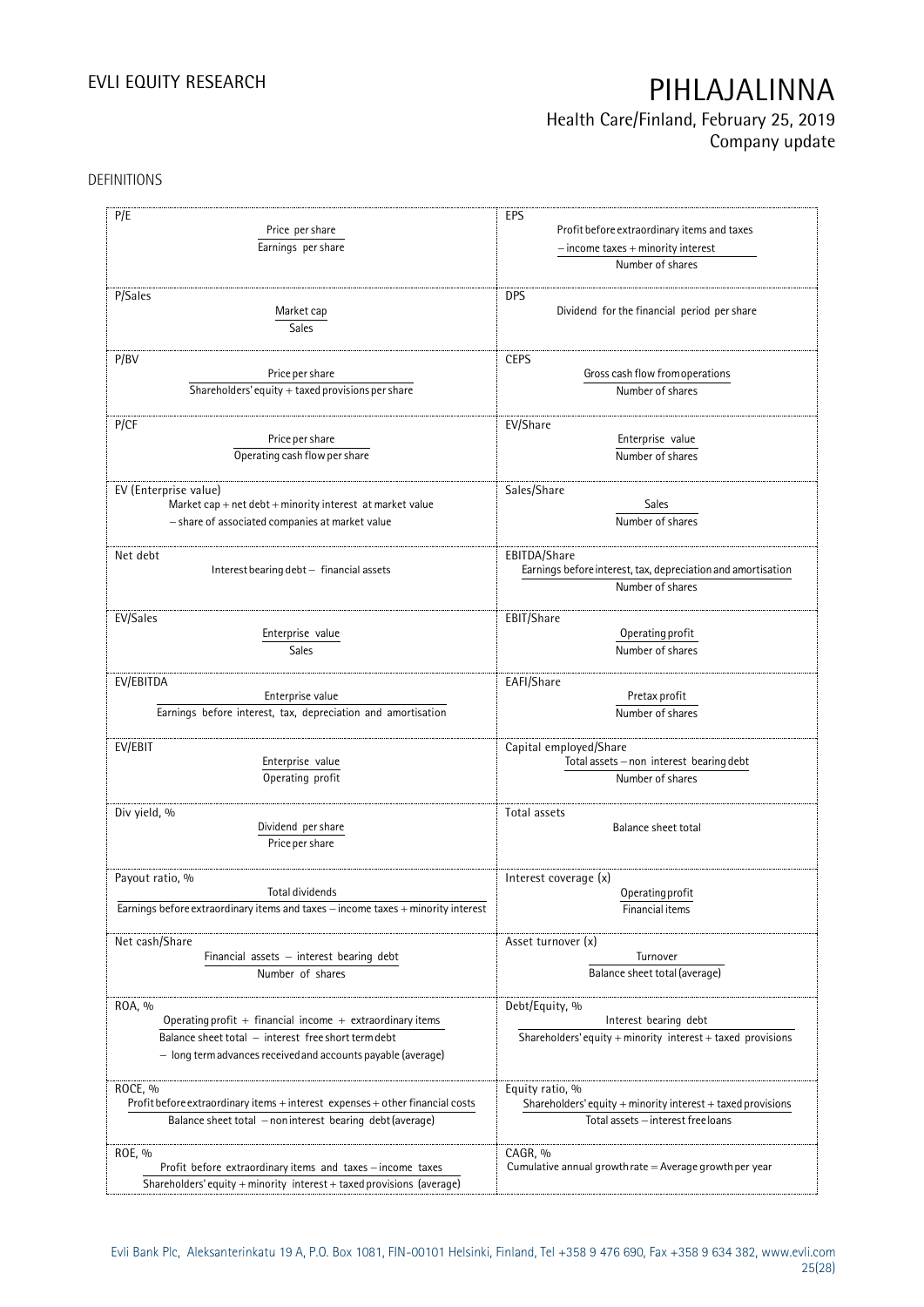## **Health Care/Finland, February 25, 2019 Company update**

#### DEFINITIONS

| P/E<br>Price per share<br>Earnings per share                                                                 | EPS<br>Profit before extraordinary items and taxes<br>$-$ income taxes $+$ minority interest      |  |  |
|--------------------------------------------------------------------------------------------------------------|---------------------------------------------------------------------------------------------------|--|--|
|                                                                                                              | Number of shares                                                                                  |  |  |
| P/Sales<br>Market cap<br><b>Sales</b>                                                                        | <b>DPS</b><br>Dividend for the financial period per share                                         |  |  |
| P/BV                                                                                                         | <b>CEPS</b>                                                                                       |  |  |
| Price per share                                                                                              | Gross cash flow from operations                                                                   |  |  |
| $\overline{\text{Shareholders}}$ ' equity + taxed provisions per share                                       | Number of shares                                                                                  |  |  |
| P/CF                                                                                                         | EV/Share                                                                                          |  |  |
| Price per share<br>Operating cash flow per share                                                             | Enterprise value<br>Number of shares                                                              |  |  |
| EV (Enterprise value)                                                                                        | Sales/Share                                                                                       |  |  |
| Market cap + net debt + minority interest at market value<br>- share of associated companies at market value | Sales<br>Number of shares                                                                         |  |  |
| Net debt                                                                                                     | EBITDA/Share                                                                                      |  |  |
| Interest bearing debt - financial assets                                                                     | Earnings before interest, tax, depreciation and amortisation                                      |  |  |
|                                                                                                              | Number of shares                                                                                  |  |  |
| EV/Sales                                                                                                     | EBIT/Share                                                                                        |  |  |
| Enterprise value                                                                                             | Operating profit                                                                                  |  |  |
| <b>Sales</b>                                                                                                 | Number of shares                                                                                  |  |  |
| EV/EBITDA                                                                                                    | EAFI/Share                                                                                        |  |  |
| Enterprise value                                                                                             | Pretax profit                                                                                     |  |  |
| Earnings before interest, tax, depreciation and amortisation                                                 | Number of shares                                                                                  |  |  |
| EV/EBIT                                                                                                      | Capital employed/Share                                                                            |  |  |
| Enterprise value                                                                                             | Total assets - non interest bearing debt<br>Number of shares                                      |  |  |
| Operating profit                                                                                             |                                                                                                   |  |  |
| Div yield, %                                                                                                 | Total assets                                                                                      |  |  |
| Dividend per share<br>Price per share                                                                        | Balance sheet total                                                                               |  |  |
| Payout ratio, %                                                                                              | Interest coverage (x)                                                                             |  |  |
| Total dividends                                                                                              | Operating profit                                                                                  |  |  |
| Earnings before extraordinary items and taxes - income taxes + minority interest                             | Financial items                                                                                   |  |  |
| Net cash/Share                                                                                               | Asset turnover (x)                                                                                |  |  |
| Financial assets $-$ interest bearing debt                                                                   | Turnover                                                                                          |  |  |
| Number of shares                                                                                             | Balance sheet total (average)                                                                     |  |  |
| ROA, %                                                                                                       | Debt/Equity, %                                                                                    |  |  |
| Operating profit $+$ financial income $+$ extraordinary items                                                | Interest bearing debt                                                                             |  |  |
| Balance sheet total - interest free short term debt                                                          | Shareholders' equity + minority interest + taxed provisions                                       |  |  |
| - long term advances received and accounts payable (average)                                                 |                                                                                                   |  |  |
| ROCE, %                                                                                                      | Equity ratio, %                                                                                   |  |  |
| Profit before extraordinary items + interest expenses + other financial costs                                | Shareholders' equity + minority interest + taxed provisions<br>Total assets - interest free loans |  |  |
| Balance sheet total - non interest bearing debt (average)                                                    |                                                                                                   |  |  |
| ROE, %                                                                                                       | CAGR, %                                                                                           |  |  |
| Profit before extraordinary items and taxes - income taxes                                                   | Cumulative annual growth rate $=$ Average growth per year                                         |  |  |
| Shareholders' equity + minority interest + taxed provisions (average)                                        |                                                                                                   |  |  |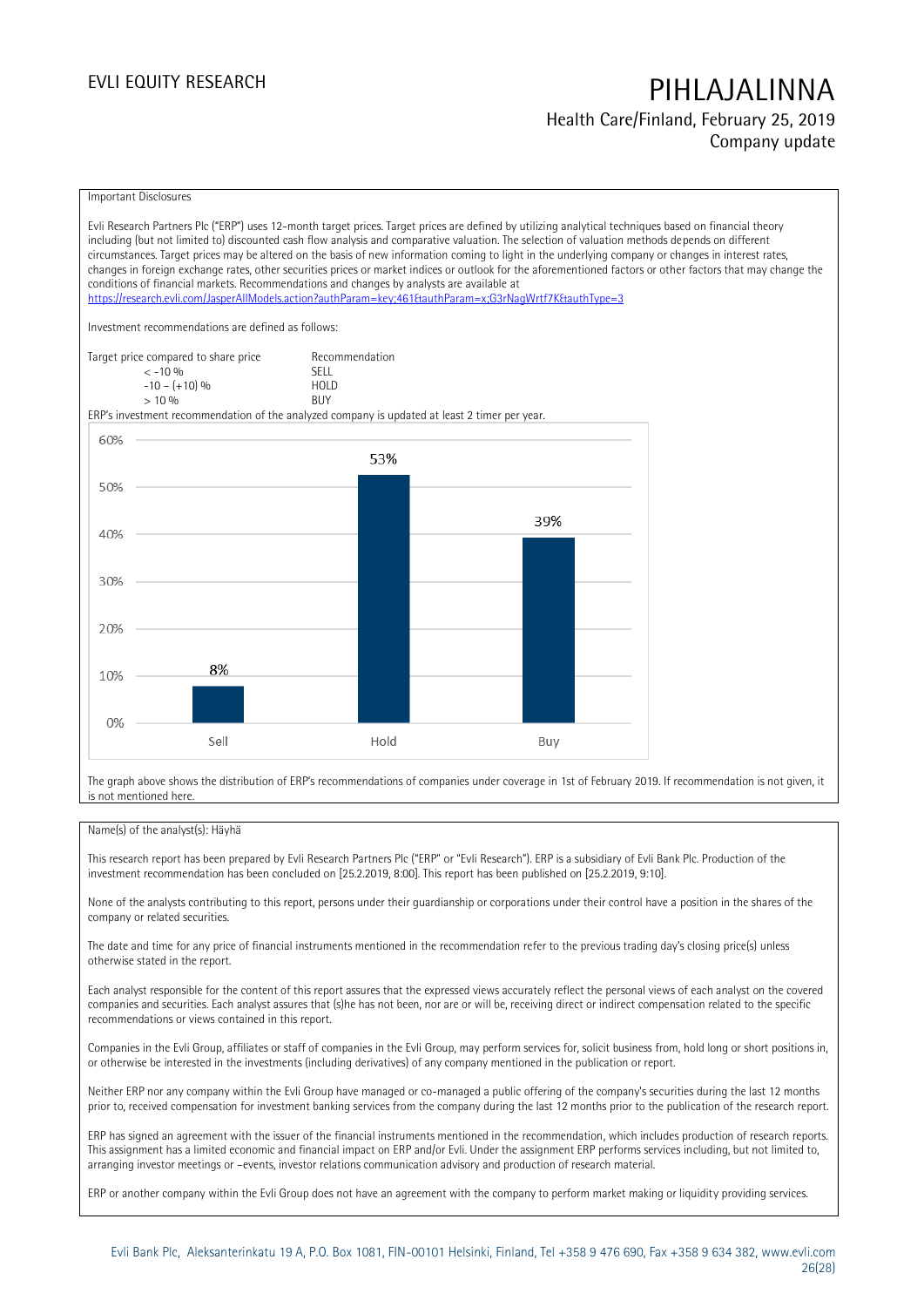**Health Care/Finland, February 25, 2019 Company update**

#### Important Disclosures

Evli Research Partners Plc ("ERP") uses 12-month target prices. Target prices are defined by utilizing analytical techniques based on financial theory including (but not limited to) discounted cash flow analysis and comparative valuation. The selection of valuation methods depends on different circumstances. Target prices may be altered on the basis of new information coming to light in the underlying company or changes in interest rates, changes in foreign exchange rates, other securities prices or market indices or outlook for the aforementioned factors or other factors that may change the conditions of financial markets. Recommendations and changes by analysts are available at <https://research.evli.com/JasperAllModels.action?authParam=key;461&authParam=x;G3rNagWrtf7K&authType=3> Investment recommendations are defined as follows: Target price compared to share price Recommendation<br>  $\leq -10\%$  SELL  $\langle 5, -10, 9 \rangle$  SELL<br>  $\langle -10, - (+10), 9 \rangle$  HOLD  $-10 - (+10) \%$  HOLD<br>> 10 % BUY  $> 10\%$ ERP's investment recommendation of the analyzed company is updated at least 2 timer per year. 60% 53% 50% 39% 40% 30% 20% 8% 10% 0% Sell Hold Buy

The graph above shows the distribution of ERP's recommendations of companies under coverage in 1st of February 2019. If recommendation is not given, it is not mentioned here.

#### Name(s) of the analyst(s): Häyhä

This research report has been prepared by Evli Research Partners Plc ("ERP" or "Evli Research"). ERP is a subsidiary of Evli Bank Plc. Production of the investment recommendation has been concluded on [25.2.2019, 8:00]. This report has been published on [25.2.2019, 9:10].

None of the analysts contributing to this report, persons under their guardianship or corporations under their control have a position in the shares of the company or related securities.

The date and time for any price of financial instruments mentioned in the recommendation refer to the previous trading day's closing price(s) unless otherwise stated in the report.

Each analyst responsible for the content of this report assures that the expressed views accurately reflect the personal views of each analyst on the covered companies and securities. Each analyst assures that (s)he has not been, nor are or will be, receiving direct or indirect compensation related to the specific recommendations or views contained in this report.

Companies in the Evli Group, affiliates or staff of companies in the Evli Group, may perform services for, solicit business from, hold long or short positions in, or otherwise be interested in the investments (including derivatives) of any company mentioned in the publication or report.

Neither ERP nor any company within the Evli Group have managed or co-managed a public offering of the company's securities during the last 12 months prior to, received compensation for investment banking services from the company during the last 12 months prior to the publication of the research report.

ERP has signed an agreement with the issuer of the financial instruments mentioned in the recommendation, which includes production of research reports. This assignment has a limited economic and financial impact on ERP and/or Evli. Under the assignment ERP performs services including, but not limited to, arranging investor meetings or –events, investor relations communication advisory and production of research material.

ERP or another company within the Evli Group does not have an agreement with the company to perform market making or liquidity providing services.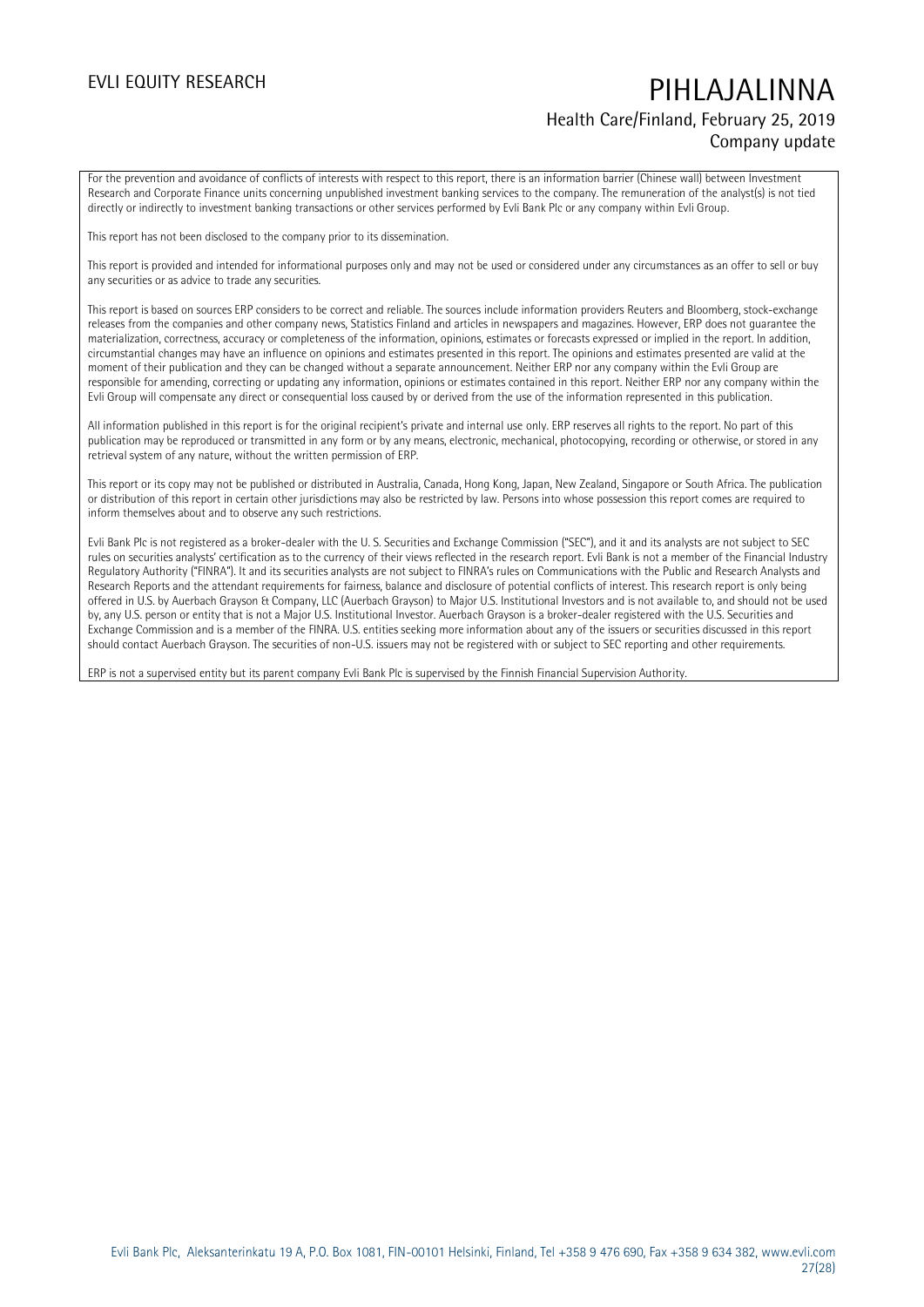### **Health Care/Finland, February 25, 2019 Company update**

For the prevention and avoidance of conflicts of interests with respect to this report, there is an information barrier (Chinese wall) between Investment Research and Corporate Finance units concerning unpublished investment banking services to the company. The remuneration of the analyst(s) is not tied directly or indirectly to investment banking transactions or other services performed by Evli Bank Plc or any company within Evli Group.

This report has not been disclosed to the company prior to its dissemination.

This report is provided and intended for informational purposes only and may not be used or considered under any circumstances as an offer to sell or buy any securities or as advice to trade any securities.

This report is based on sources ERP considers to be correct and reliable. The sources include information providers Reuters and Bloomberg, stock-exchange releases from the companies and other company news, Statistics Finland and articles in newspapers and magazines. However, ERP does not guarantee the materialization, correctness, accuracy or completeness of the information, opinions, estimates or forecasts expressed or implied in the report. In addition, circumstantial changes may have an influence on opinions and estimates presented in this report. The opinions and estimates presented are valid at the moment of their publication and they can be changed without a separate announcement. Neither ERP nor any company within the Evli Group are responsible for amending, correcting or updating any information, opinions or estimates contained in this report. Neither ERP nor any company within the Evli Group will compensate any direct or consequential loss caused by or derived from the use of the information represented in this publication.

All information published in this report is for the original recipient's private and internal use only. ERP reserves all rights to the report. No part of this publication may be reproduced or transmitted in any form or by any means, electronic, mechanical, photocopying, recording or otherwise, or stored in any retrieval system of any nature, without the written permission of ERP.

This report or its copy may not be published or distributed in Australia, Canada, Hong Kong, Japan, New Zealand, Singapore or South Africa. The publication or distribution of this report in certain other jurisdictions may also be restricted by law. Persons into whose possession this report comes are required to inform themselves about and to observe any such restrictions.

Evli Bank Plc is not registered as a broker-dealer with the U. S. Securities and Exchange Commission ("SEC"), and it and its analysts are not subject to SEC rules on securities analysts' certification as to the currency of their views reflected in the research report. Evli Bank is not a member of the Financial Industry Regulatory Authority ("FINRA"). It and its securities analysts are not subject to FINRA's rules on Communications with the Public and Research Analysts and Research Reports and the attendant requirements for fairness, balance and disclosure of potential conflicts of interest. This research report is only being offered in U.S. by Auerbach Grayson & Company, LLC (Auerbach Grayson) to Major U.S. Institutional Investors and is not available to, and should not be used by, any U.S. person or entity that is not a Major U.S. Institutional Investor. Auerbach Grayson is a broker-dealer registered with the U.S. Securities and Exchange Commission and is a member of the FINRA. U.S. entities seeking more information about any of the issuers or securities discussed in this report should contact Auerbach Grayson. The securities of non-U.S. issuers may not be registered with or subject to SEC reporting and other requirements.

ERP is not a supervised entity but its parent company Evli Bank Plc is supervised by the Finnish Financial Supervision Authority.